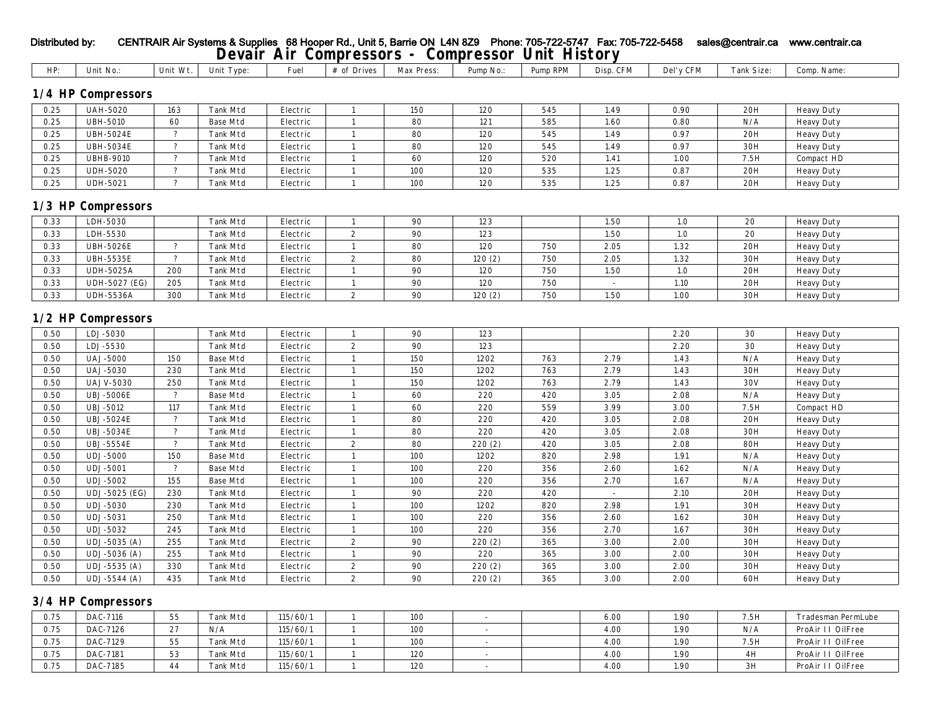| HP:  | Unit No.:                      | Unit Wt.                 | Unit Type:      | Fuel     | # of Drives      | Max Press: | Pump No.: | Pump RPM | Disp. CFM | Del'y CFM | Tank Size: | Comp. Name:       |
|------|--------------------------------|--------------------------|-----------------|----------|------------------|------------|-----------|----------|-----------|-----------|------------|-------------------|
|      |                                |                          |                 |          |                  |            |           |          |           |           |            |                   |
|      | 1/4 HP Compressors             |                          |                 |          |                  |            |           |          |           |           |            |                   |
| 0.25 | <b>UAH-5020</b>                | 163                      | Tank Mtd        | Electric | $\mathbf{1}$     | 150        | 120       | 545      | 1.49      | 0.90      | 20H        | <b>Heavy Duty</b> |
| 0.25 | <b>UBH-5010</b>                | 60                       | <b>Base Mtd</b> | Electric | 1                | 80         | 121       | 585      | 1.60      | 0.80      | N/A        | <b>Heavy Duty</b> |
| 0.25 | <b>UBH-5024E</b>               | $\overline{?}$           | Tank Mtd        | Electric | $\mathbf{1}$     | 80         | 120       | 545      | 1.49      | 0.97      | 20H        | <b>Heavy Duty</b> |
| 0.25 | <b>UBH-5034E</b>               | $\overline{?}$           | <b>Tank Mtd</b> | Electric | -1               | 80         | 120       | 545      | 1.49      | 0.97      | 30H        | <b>Heavy Duty</b> |
| 0.25 | <b>UBHB-9010</b>               | $\overline{\mathcal{E}}$ | Tank Mtd        | Electric | 1                | 60         | 120       | 520      | 1.41      | 1.00      | 7.5H       | Compact HD        |
| 0.25 | <b>UDH-5020</b>                | $\mathcal{P}$            | Tank Mtd        | Electric | $\mathbf{1}$     | 100        | 120       | 535      | 1.25      | 0.87      | 20H        | <b>Heavy Duty</b> |
| 0.25 | <b>UDH-5021</b>                | $\overline{?}$           | Tank Mtd        | Electric | $\mathbf{1}$     | 100        | 120       | 535      | 1.25      | 0.87      | 20H        | <b>Heavy Duty</b> |
|      |                                |                          |                 |          |                  |            |           |          |           |           |            |                   |
|      | 1/3 HP Compressors             |                          |                 |          |                  |            |           |          |           |           |            |                   |
| 0.33 | LDH-5030                       |                          | Tank Mtd        | Electric | $\mathbf{1}$     | 90         | 123       |          | 1.50      | $1.0\,$   | 20         | <b>Heavy Duty</b> |
| 0.33 | LDH-5530                       |                          | Tank Mtd        | Electric | $\boldsymbol{2}$ | 90         | 123       |          | 1.50      | 1.0       | 20         | <b>Heavy Duty</b> |
| 0.33 | <b>UBH-5026E</b>               | $\tilde{ }$              | Tank Mtd        | Electric | $\mathbf{1}$     | 80         | 120       | 750      | 2.05      | 1.32      | 20H        | <b>Heavy Duty</b> |
| 0.33 | <b>UBH-5535E</b>               | $\overline{?}$           | Tank Mtd        | Electric | $\boldsymbol{2}$ | 80         | 120(2)    | 750      | 2.05      | 1.32      | 30H        | <b>Heavy Duty</b> |
| 0.33 | <b>UDH-5025A</b>               | 200                      | Tank Mtd        | Electric | $\mathbf{1}$     | 90         | 120       | 750      | 1.50      | 1.0       | 20H        | <b>Heavy Duty</b> |
| 0.33 | UDH-5027 (EG)                  | 205                      | Tank Mtd        | Electric | $\mathbf{1}$     | 90         | 120       | 750      |           | 1.10      | 20H        | <b>Heavy Duty</b> |
| 0.33 | <b>UDH-5536A</b>               | 300                      | <b>Tank Mtd</b> | Electric | $\mathbf{2}$     | 90         | 120(2)    | 750      | 1.50      | 1.00      | 30H        | <b>Heavy Duty</b> |
| 0.50 | 1/2 HP Compressors<br>LDJ-5030 |                          |                 |          |                  | 90         | 123       |          |           |           |            |                   |
|      |                                |                          | Tank Mtd        | Electric | $\mathbf{1}$     |            |           |          |           | 2.20      | $30\,$     | <b>Heavy Duty</b> |
| 0.50 | LDJ-5530                       |                          | Tank Mtd        | Electric | $\boldsymbol{2}$ | $90\,$     | 123       |          |           | 2.20      | 30         | <b>Heavy Duty</b> |
| 0.50 | <b>UAJ-5000</b>                | 150                      | <b>Base Mtd</b> | Electric | $\mathbf{1}$     | 150        | 1202      | 763      | 2.79      | 1.43      | N/A        | <b>Heavy Duty</b> |
| 0.50 | <b>UAJ-5030</b>                | 230                      | Tank Mtd        | Electric | $\mathbf{1}$     | 150        | 1202      | 763      | 2.79      | 1.43      | 30H        | <b>Heavy Duty</b> |
| 0.50 | <b>UAJV-5030</b>               | 250                      | <b>Tank Mtd</b> | Electric | 1                | 150        | 1202      | 763      | 2.79      | 1.43      | 30V        | <b>Heavy Duty</b> |
| 0.50 | <b>UBJ-5006E</b>               | $\ddot{\phantom{0}}$     | <b>Base Mtd</b> | Electric | $\mathbf{1}$     | 60         | 220       | 420      | 3.05      | 2.08      | N/A        | <b>Heavy Duty</b> |
| 0.50 | UBJ-5012                       | 117                      | Tank Mtd        | Electric | $\mathbf{1}$     | 60         | 220       | 559      | 3.99      | 3.00      | 7.5H       | Compact HD        |
| 0.50 | <b>UBJ-5024E</b>               | $\ddot{\phantom{0}}$     | Tank Mtd        | Electric | $\mathbf{1}$     | 80         | 220       | 420      | 3.05      | 2.08      | 20H        | <b>Heavy Duty</b> |
| 0.50 | <b>UBJ-5034E</b>               | $\overline{?}$           | <b>Tank Mtd</b> | Electric | $\mathbf{1}$     | 80         | 220       | 420      | 3.05      | 2.08      | 30H        | <b>Heavy Duty</b> |
| 0.50 | <b>UBJ-5554E</b>               | $\overline{\phantom{a}}$ | Tank Mtd        | Electric | $\boldsymbol{2}$ | 80         | 220(2)    | 420      | 3.05      | 2.08      | <b>80H</b> | <b>Heavy Duty</b> |
| 0.50 | <b>UDJ-5000</b>                | 150                      | <b>Base Mtd</b> | Electric | $\mathbf{1}$     | 100        | 1202      | 820      | 2.98      | 1.91      | N/A        | <b>Heavy Duty</b> |
| 0.50 | <b>UDJ-5001</b>                | $\overline{\mathbf{?}}$  | <b>Base Mtd</b> | Electric | $\mathbf{1}$     | 100        | 220       | 356      | 2.60      | 1.62      | N/A        | <b>Heavy Duty</b> |
| 0.50 | <b>UDJ-5002</b>                | 155                      | <b>Base Mtd</b> | Electric | $\mathbf{1}$     | 100        | 220       | 356      | 2.70      | 1.67      | N/A        | <b>Heavy Duty</b> |
| 0.50 | UDJ-5025 (EG)                  | 230                      | <b>Tank Mtd</b> | Electric | $\mathbf{1}$     | 90         | 220       | 420      |           | 2.10      | 20H        | <b>Heavy Duty</b> |
| 0.50 | <b>UDJ-5030</b>                | 230                      | <b>Tank Mtd</b> | Electric | 1                | 100        | 1202      | 820      | 2.98      | 1.91      | 30H        | <b>Heavy Duty</b> |
| 0.50 | <b>UDJ-5031</b>                | 250                      | Tank Mtd        | Electric | $\mathbf{1}$     | 100        | 220       | 356      | 2.60      | 1.62      | 30H        | <b>Heavy Duty</b> |
| 0.50 | UDJ-5032                       | 245                      | <b>Tank Mtd</b> | Electric | $\mathbf{1}$     | 100        | 220       | 356      | 2.70      | 1.67      | 30H        | <b>Heavy Duty</b> |
| 0.50 | UDJ-5035 (A)                   | 255                      | Tank Mtd        | Electric | $\boldsymbol{2}$ | 90         | 220(2)    | 365      | 3.00      | 2.00      | 30H        | <b>Heavy Duty</b> |
| 0.50 | UDJ-5036 (A)                   | 255                      | <b>Tank Mtd</b> | Electric | $\mathbf{1}$     | 90         | 220       | 365      | 3.00      | 2.00      | 30H        | <b>Heavy Duty</b> |
| 0.50 | UDJ-5535 (A)                   | 330                      | Tank Mtd        | Electric | $\mathbf{2}$     | $90\,$     | 220(2)    | 365      | 3.00      | 2.00      | 30H        | <b>Heavy Duty</b> |
| 0.50 | UDJ-5544 (A)                   | 435                      | <b>Tank Mtd</b> | Electric | $\mathbf{2}$     | 90         | 220(2)    | 365      | 3.00      | 2.00      | 60H        | <b>Heavy Duty</b> |

## **3/4 HP Compressors**

| 0.75 | DAC-7116 | 55           | Tank Mtd        | 115/60/1 | 100 |  | 6.00 | 1.90 | 7.5H | Tradesman PermLube |
|------|----------|--------------|-----------------|----------|-----|--|------|------|------|--------------------|
| 0.75 | DAC-7126 | 27<br>$\sim$ | N/A             | 115/60/1 | 100 |  | 4.00 | 1.90 | N/A  | ProAir II OilFree  |
| 0.75 | DAC-7129 | 55           | Tank Mtd        | 115/60/1 | 100 |  | 4.00 | 1.90 | 7.5H | ProAir II OilFree  |
| 0.75 | DAC-7181 | 53           | <b>Tank Mtd</b> | 115/60/1 | 120 |  | 4.00 | 1.90 | 4H   | ProAir II OilFree  |
| 0.75 | DAC-7185 | 44           | <b>Tank Mtd</b> | 115/60/1 | 120 |  | 4.00 | 1.90 | 3H   | ProAir II OilFree  |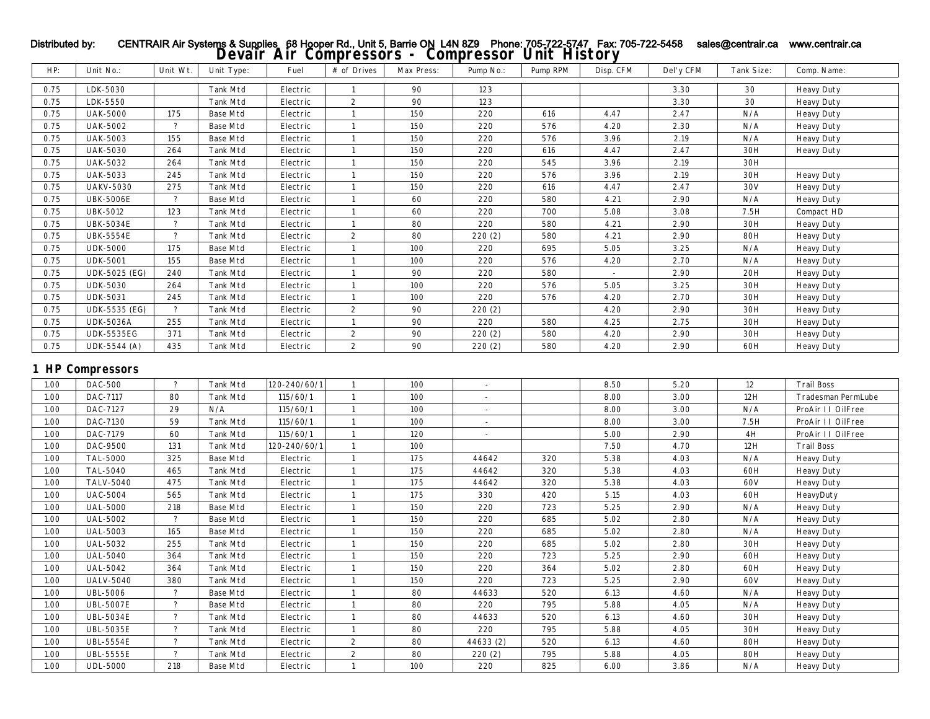| HP:      | Unit No.:               | Unit Wt.                 | Unit Type:      | Fuel         | # of Drives      | Max Press: | Pump No.:                | Pump RPM | Disp. CFM | Del'y CFM | Tank Size: | Comp. Name:        |
|----------|-------------------------|--------------------------|-----------------|--------------|------------------|------------|--------------------------|----------|-----------|-----------|------------|--------------------|
| 0.75     | LDK-5030                |                          | <b>Tank Mtd</b> | Electric     | 1                | 90         | 123                      |          |           | 3.30      | 30         | <b>Heavy Duty</b>  |
| 0.75     | LDK-5550                |                          | <b>Tank Mtd</b> | Electric     | $\mathbf{2}$     | 90         | 123                      |          |           | 3.30      | 30         | <b>Heavy Duty</b>  |
| 0.75     | <b>UAK-5000</b>         | 175                      | <b>Base Mtd</b> | Electric     | $\mathbf{1}$     | 150        | 220                      | 616      | 4.47      | 2.47      | N/A        | <b>Heavy Duty</b>  |
| 0.75     | <b>UAK-5002</b>         | $\overline{?}$           | <b>Base Mtd</b> | Electric     | $\mathbf{1}$     | 150        | 220                      | 576      | 4.20      | 2.30      | N/A        | <b>Heavy Duty</b>  |
| 0.75     | <b>UAK-5003</b>         | 155                      | <b>Base Mtd</b> | Electric     | $\mathbf{1}$     | 150        | 220                      | 576      | 3.96      | 2.19      | N/A        | <b>Heavy Duty</b>  |
| 0.75     | <b>UAK-5030</b>         | 264                      | <b>Tank Mtd</b> | Electric     | $\mathbf{1}$     | 150        | 220                      | 616      | 4.47      | 2.47      | 30H        | <b>Heavy Duty</b>  |
| $0.75\,$ | <b>UAK-5032</b>         | 264                      | <b>Tank Mtd</b> | Electric     | 1                | 150        | 220                      | 545      | 3.96      | 2.19      | 30H        |                    |
| $0.75\,$ | <b>UAK-5033</b>         | 245                      | <b>Tank Mtd</b> | Electric     | $\mathbf{1}$     | 150        | 220                      | 576      | $3.96\,$  | 2.19      | 30H        | <b>Heavy Duty</b>  |
| 0.75     | <b>UAKV-5030</b>        | 275                      | <b>Tank Mtd</b> | Electric     | $\mathbf{1}$     | 150        | 220                      | 616      | 4.47      | 2.47      | 30V        | <b>Heavy Duty</b>  |
| 0.75     | <b>UBK-5006E</b>        | $\overline{\mathcal{L}}$ | <b>Base Mtd</b> | Electric     | $\mathbf{1}$     | 60         | 220                      | 580      | 4.21      | 2.90      | N/A        | <b>Heavy Duty</b>  |
| 0.75     | <b>UBK-5012</b>         | 123                      | <b>Tank Mtd</b> | Electric     | $\mathbf{1}$     | 60         | 220                      | 700      | 5.08      | 3.08      | 7.5H       | Compact HD         |
| 0.75     | <b>UBK-5034E</b>        | $\overline{?}$           | <b>Tank Mtd</b> | Electric     | $\mathbf{1}$     | 80         | 220                      | 580      | 4.21      | 2.90      | 30H        | <b>Heavy Duty</b>  |
| 0.75     | <b>UBK-5554E</b>        | $\overline{\mathcal{E}}$ | <b>Tank Mtd</b> | Electric     | $\boldsymbol{2}$ | 80         | 220(2)                   | 580      | 4.21      | 2.90      | <b>80H</b> | <b>Heavy Duty</b>  |
| 0.75     | <b>UDK-5000</b>         | 175                      | <b>Base Mtd</b> | Electric     | $\mathbf{1}$     | 100        | 220                      | 695      | 5.05      | 3.25      | N/A        | <b>Heavy Duty</b>  |
| 0.75     | <b>UDK-5001</b>         | 155                      | <b>Base Mtd</b> | Electric     | $\mathbf{1}$     | 100        | 220                      | 576      | 4.20      | 2.70      | N/A        | <b>Heavy Duty</b>  |
| 0.75     | <b>UDK-5025 (EG)</b>    | 240                      | <b>Tank Mtd</b> | Electric     | 1                | 90         | 220                      | 580      | $\sim$    | 2.90      | 20H        | <b>Heavy Duty</b>  |
| 0.75     | <b>UDK-5030</b>         | 264                      | <b>Tank Mtd</b> | Electric     | $\mathbf{1}$     | 100        | 220                      | 576      | 5.05      | 3.25      | 30H        | <b>Heavy Duty</b>  |
| 0.75     | <b>UDK-5031</b>         | 245                      | <b>Tank Mtd</b> | Electric     | $\mathbf{1}$     | 100        | 220                      | 576      | 4.20      | 2.70      | 30H        | <b>Heavy Duty</b>  |
| 0.75     | UDK-5535 (EG)           | $\overline{?}$           | <b>Tank Mtd</b> | Electric     | $\boldsymbol{2}$ | 90         | 220 (2)                  |          | 4.20      | 2.90      | 30H        | <b>Heavy Duty</b>  |
| 0.75     | <b>UDK-5036A</b>        | 255                      | <b>Tank Mtd</b> | Electric     | $\mathbf{1}$     | 90         | 220                      | 580      | 4.25      | 2.75      | 30H        | <b>Heavy Duty</b>  |
| 0.75     | <b>UDK-5535EG</b>       | 371                      | <b>Tank Mtd</b> | Electric     | $\boldsymbol{2}$ | 90         | 220(2)                   | 580      | 4.20      | 2.90      | 30H        | <b>Heavy Duty</b>  |
| $0.75\,$ | UDK-5544 (A)            | 435                      | <b>Tank Mtd</b> | Electric     | $\mathbf{2}$     | 90         | 220(2)                   | 580      | 4.20      | 2.90      | 60H        | <b>Heavy Duty</b>  |
|          | <b>1 HP Compressors</b> |                          |                 |              |                  |            |                          |          |           |           |            |                    |
| 1.00     | <b>DAC-500</b>          | $\overline{\mathcal{E}}$ | Tank Mtd        | 120-240/60/1 | $\mathbf{1}$     | 100        | $\overline{\phantom{a}}$ |          | 8.50      | 5.20      | 12         | <b>Trail Boss</b>  |
| 1.00     | DAC-7117                | 80                       | <b>Tank Mtd</b> | 115/60/1     | $\mathbf{1}$     | 100        |                          |          | 8.00      | 3.00      | 12H        | Tradesman PermLube |
| 1.00     | DAC-7127                | 29                       | N/A             | 115/60/1     | $\mathbf{1}$     | 100        | $\sim$                   |          | 8.00      | 3.00      | N/A        | ProAir II OilFree  |
| 1.00     | DAC-7130                | 59                       | <b>Tank Mtd</b> | 115/60/1     | $\mathbf{1}$     | 100        | $\sim$                   |          | 8.00      | 3.00      | 7.5H       | ProAir II OilFree  |
| 1.00     | DAC-7179                | 60                       | <b>Tank Mtd</b> | 115/60/1     | $\mathbf{1}$     | 120        | $\overline{a}$           |          | 5.00      | 2.90      | 4H         | ProAir II OilFree  |
| 1.00     | DAC-9500                | 131                      | <b>Tank Mtd</b> | 120-240/60/1 | $\mathbf{1}$     | 100        |                          |          | 7.50      | 4.70      | 12H        | <b>Trail Boss</b>  |
| 1.00     | <b>TAL-5000</b>         | 325                      | <b>Base Mtd</b> | Electric     | $\mathbf{1}$     | 175        | 44642                    | 320      | 5.38      | 4.03      | N/A        | <b>Heavy Duty</b>  |
| 1.00     | TAL-5040                | 465                      | <b>Tank Mtd</b> | Electric     | $\mathbf{1}$     | 175        | 44642                    | 320      | 5.38      | 4.03      | 60H        | <b>Heavy Duty</b>  |
| 1.00     | <b>TALV-5040</b>        | 475                      | <b>Tank Mtd</b> | Electric     | $\mathbf{1}$     | 175        | 44642                    | 320      | 5.38      | 4.03      | 60V        | <b>Heavy Duty</b>  |
| 1.00     | <b>UAC-5004</b>         | 565                      | <b>Tank Mtd</b> | Electric     | $\mathbf{1}$     | 175        | 330                      | 420      | 5.15      | 4.03      | 60H        | HeavyDuty          |
| 1.00     | <b>UAL-5000</b>         | 218                      | <b>Base Mtd</b> | Electric     | $\mathbf{1}$     | 150        | 220                      | 723      | 5.25      | 2.90      | N/A        | <b>Heavy Duty</b>  |
| 1.00     | <b>UAL-5002</b>         | $\overline{?}$           | <b>Base Mtd</b> | Electric     | $\mathbf{1}$     | 150        | 220                      | 685      | 5.02      | 2.80      | N/A        | <b>Heavy Duty</b>  |
| 1.00     | <b>UAL-5003</b>         | 165                      | <b>Base Mtd</b> | Electric     | $\mathbf{1}$     | 150        | 220                      | 685      | 5.02      | 2.80      | N/A        | <b>Heavy Duty</b>  |
| 1.00     | <b>UAL-5032</b>         | 255                      | <b>Tank Mtd</b> | Electric     | $\mathbf{1}$     | 150        | 220                      | 685      | $5.02\,$  | 2.80      | 30H        | <b>Heavy Duty</b>  |
| 1.00     | <b>UAL-5040</b>         | 364                      | <b>Tank Mtd</b> | Electric     | $\mathbf{1}$     | 150        | 220                      | 723      | $5.25\,$  | 2.90      | 60H        | <b>Heavy Duty</b>  |
| 1.00     | <b>UAL-5042</b>         | 364                      | <b>Tank Mtd</b> | Electric     | $\mathbf{1}$     | 150        | 220                      | 364      | 5.02      | 2.80      | 60H        | <b>Heavy Duty</b>  |
| 1.00     | <b>UALV-5040</b>        | 380                      | <b>Tank Mtd</b> | Electric     | $\mathbf{1}$     | 150        | 220                      | 723      | 5.25      | 2.90      | 60V        | <b>Heavy Duty</b>  |
| 1.00     | <b>UBL-5006</b>         | $\overline{?}$           | <b>Base Mtd</b> | Electric     | $\mathbf{1}$     | 80         | 44633                    | 520      | 6.13      | 4.60      | N/A        | <b>Heavy Duty</b>  |
| 1.00     | <b>UBL-5007E</b>        | $\mathcal{P}$            | <b>Base Mtd</b> | Electric     | $\mathbf{1}$     | 80         | 220                      | 795      | 5.88      | 4.05      | N/A        | <b>Heavy Duty</b>  |

1.00 | UBL-5034E | ? | Tank Mtd | Electric | 1 | 80 | 44633 | 520 | 6.13 | 4.60 | 30H | Heavy Duty 1.00 | UBL-5035E | ? | Tank Mtd | Electric | 1 | 80 | 220 | 795 | 5.88 | 4.05 | 30H | Heavy Duty 1.00 | UBL-5554E | ? | Tank Mtd | Electric | 2 | 80 | 44633 (2) | 520 | 6.13 | 4.60 | 80H | Heavy Duty 1.00 | UBL-5555E | ? | Tank Mtd | Electric | 2 | 80 | 220 (2) | 795 | 5.88 | 4.05 | 80H | Heavy Duty 1.00 | UDL-5000 | 218 | Base Mtd | Electric | 1 | 100 | 220 | 825 | 6.00 | 3.86 | N/A | Heavy Duty

## Distributed by: CENTRAIR Air Systems & Supplies 68 Hooper Rd., Unit 5, Barrie ON L4N 8Z9 Phone: 705-722-5747 Fax: 705-722-5458 sales@centrair.ca www.centrair.ca<br>**Devair Air Compressors - Compressor Unit History**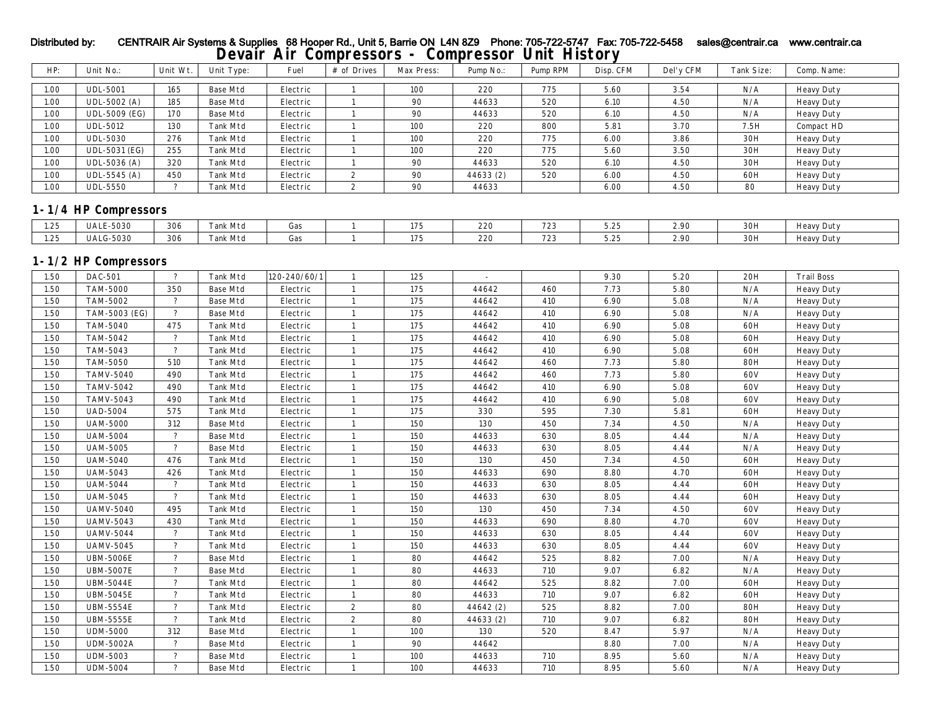| HP:  | Unit No.:            | Unit Wt.                 | Unit Type:      | Fuel             | # of Drives      | Max Press: | Pump No.: | Pump RPM | Disp. CFM | Del'y CFM | Tank Size: | Comp. Name:       |
|------|----------------------|--------------------------|-----------------|------------------|------------------|------------|-----------|----------|-----------|-----------|------------|-------------------|
| 1.00 | <b>UDL-5001</b>      | 165                      | <b>Base Mtd</b> | Electric         | 1                | 100        | 220       | 775      | 5.60      | 3.54      | N/A        | <b>Heavy Duty</b> |
| 1.00 | UDL-5002 (A)         | 185                      | <b>Base Mtd</b> | Electric         | $\mathbf{1}$     | 90         | 44633     | 520      | 6.10      | 4.50      | N/A        | <b>Heavy Duty</b> |
| 1.00 | UDL-5009 (EG)        | 170                      | <b>Base Mtd</b> | ${\rm Electric}$ | $\mathbf{1}$     | 90         | 44633     | 520      | 6.10      | 4.50      | N/A        | <b>Heavy Duty</b> |
| 1.00 | <b>UDL-5012</b>      | 130                      | Tank Mtd        | Electric         | $\mathbf{1}$     | 100        | 220       | 800      | 5.81      | 3.70      | 7.5H       | Compact HD        |
| 1.00 | <b>UDL-5030</b>      | 276                      | Tank Mtd        | Electric         | $\mathbf{1}$     | 100        | 220       | 775      | 6.00      | 3.86      | 30H        | <b>Heavy Duty</b> |
| 1.00 | UDL-5031 (EG)        | 255                      | Tank Mtd        | Electric         | $\mathbf{1}$     | 100        | 220       | 775      | 5.60      | 3.50      | 30H        | <b>Heavy Duty</b> |
| 1.00 | UDL-5036 (A)         | 320                      | Tank Mtd        | Electric         | $\mathbf{1}$     | 90         | 44633     | 520      | 6.10      | 4.50      | 30H        | <b>Heavy Duty</b> |
| 1.00 | UDL-5545 (A)         | 450                      | Tank Mtd        | Electric         | $\mathbf{2}$     | 90         | 44633 (2) | 520      | 6.00      | 4.50      | 60H        | <b>Heavy Duty</b> |
| 1.00 | <b>UDL-5550</b>      | $\overline{?}$           | Tank Mtd        | Electric         | $\boldsymbol{2}$ | 90         | 44633     |          | 6.00      | 4.50      | 80         | <b>Heavy Duty</b> |
|      |                      |                          |                 |                  |                  |            |           |          |           |           |            |                   |
|      | 1-1/4 HP Compressors |                          |                 |                  |                  |            |           |          |           |           |            |                   |
| 1.25 | <b>UALE-5030</b>     | 306                      | Tank Mtd        | Gas              | $\mathbf{1}$     | 175        | 220       | 723      | 5.25      | 2.90      | 30H        | <b>Heavy Duty</b> |
| 1.25 | <b>UALG-5030</b>     | 306                      | Tank Mtd        | Gas              | $\mathbf{1}$     | 175        | 220       | 723      | 5.25      | 2.90      | 30H        | <b>Heavy Duty</b> |
|      |                      |                          |                 |                  |                  |            |           |          |           |           |            |                   |
|      | 1-1/2 HP Compressors |                          |                 |                  |                  |            |           |          |           |           |            |                   |
| 1.50 | <b>DAC-501</b>       | $\gamma$                 | Tank Mtd        | 120-240/60/1     | $\mathbf{1}$     | 125        | $\sim$    |          | 9.30      | 5.20      | 20H        | <b>Trail Boss</b> |
| 1.50 | <b>TAM-5000</b>      | 350                      | <b>Base Mtd</b> | ${\rm Electric}$ | $\mathbf{1}$     | 175        | 44642     | 460      | 7.73      | 5.80      | N/A        | <b>Heavy Duty</b> |
| 1.50 | TAM-5002             | $\overline{?}$           | <b>Base Mtd</b> | Electric         | $\mathbf{1}$     | 175        | 44642     | 410      | 6.90      | 5.08      | N/A        | <b>Heavy Duty</b> |
| 1.50 | TAM-5003 (EG)        | $\overline{?}$           | <b>Base Mtd</b> | Electric         | $\mathbf{1}$     | 175        | 44642     | 410      | 6.90      | 5.08      | N/A        | <b>Heavy Duty</b> |
| 1.50 | <b>TAM-5040</b>      | 475                      | <b>Tank Mtd</b> | Electric         | $\mathbf{1}$     | 175        | 44642     | 410      | 6.90      | 5.08      | 60H        | <b>Heavy Duty</b> |
| 1.50 | TAM-5042             | $\overline{?}$           | Tank Mtd        | Electric         | $\mathbf{1}$     | 175        | 44642     | 410      | 6.90      | 5.08      | 60H        | <b>Heavy Duty</b> |
| 1.50 | TAM-5043             | $\gamma$                 | Tank Mtd        | Electric         | $\mathbf{1}$     | 175        | 44642     | 410      | 6.90      | 5.08      | 60H        | <b>Heavy Duty</b> |
| 1.50 | <b>TAM-5050</b>      | 510                      | Tank Mtd        | Electric         | $\mathbf{1}$     | 175        | 44642     | 460      | 7.73      | 5.80      | <b>80H</b> | <b>Heavy Duty</b> |
| 1.50 | <b>TAMV-5040</b>     | 490                      | <b>Tank Mtd</b> | Electric         | $\mathbf{1}$     | 175        | 44642     | 460      | 7.73      | 5.80      | 60V        | <b>Heavy Duty</b> |
| 1.50 | <b>TAMV-5042</b>     | 490                      | <b>Tank Mtd</b> | Electric         | $\mathbf{1}$     | 175        | 44642     | 410      | 6.90      | 5.08      | 60V        | <b>Heavy Duty</b> |
| 1.50 | <b>TAMV-5043</b>     | 490                      | Tank Mtd        | Electric         | $\mathbf{1}$     | 175        | 44642     | 410      | 6.90      | 5.08      | 60V        | <b>Heavy Duty</b> |
| 1.50 | <b>UAD-5004</b>      | 575                      | Tank Mtd        | Electric         | $\mathbf{1}$     | 175        | 330       | 595      | 7.30      | 5.81      | 60H        | <b>Heavy Duty</b> |
| 1.50 | <b>UAM-5000</b>      | 312                      | <b>Base Mtd</b> | Electric         | $\mathbf{1}$     | 150        | 130       | 450      | 7.34      | 4.50      | N/A        | <b>Heavy Duty</b> |
| 1.50 | <b>UAM-5004</b>      | $\overline{?}$           | <b>Base Mtd</b> | Electric         | $\mathbf{1}$     | 150        | 44633     | 630      | 8.05      | 4.44      | N/A        | <b>Heavy Duty</b> |
| 1.50 | <b>UAM-5005</b>      | $\overline{?}$           | <b>Base Mtd</b> | Electric         | $\mathbf{1}$     | 150        | 44633     | 630      | 8.05      | 4.44      | $\rm N/A$  | <b>Heavy Duty</b> |
| 1.50 | <b>UAM-5040</b>      | 476                      | Tank Mtd        | Electric         | $\mathbf{1}$     | 150        | 130       | 450      | 7.34      | 4.50      | 60H        | <b>Heavy Duty</b> |
| 1.50 | <b>UAM-5043</b>      | 426                      | Tank Mtd        | Electric         | $\mathbf{1}$     | 150        | 44633     | 690      | 8.80      | 4.70      | 60H        | <b>Heavy Duty</b> |
| 1.50 | <b>UAM-5044</b>      | $\overline{\mathbf{?}}$  | <b>Tank Mtd</b> | Electric         | $\mathbf{1}$     | 150        | 44633     | 630      | 8.05      | 4.44      | 60H        | <b>Heavy Duty</b> |
| 1.50 | <b>UAM-5045</b>      | $\overline{?}$           | <b>Tank Mtd</b> | Electric         | $\mathbf{1}$     | 150        | 44633     | 630      | 8.05      | 4.44      | 60H        | <b>Heavy Duty</b> |
| 1.50 | <b>UAMV-5040</b>     | 495                      | Tank Mtd        | Electric         | $\mathbf{1}$     | 150        | 130       | 450      | 7.34      | 4.50      | 60V        | <b>Heavy Duty</b> |
| 1.50 | <b>UAMV-5043</b>     | 430                      | Tank Mtd        | Electric         | $\mathbf{1}$     | 150        | 44633     | 690      | 8.80      | 4.70      | 60V        | <b>Heavy Duty</b> |
| 1.50 | <b>UAMV-5044</b>     | $\overline{?}$           | Tank Mtd        | Electric         | $\mathbf{1}$     | 150        | 44633     | 630      | 8.05      | 4.44      | 60V        | <b>Heavy Duty</b> |
| 1.50 | <b>UAMV-5045</b>     | $\overline{?}$           | Tank Mtd        | Electric         | $\mathbf{1}$     | 150        | 44633     | 630      | 8.05      | 4.44      | 60V        | <b>Heavy Duty</b> |
| 1.50 | <b>UBM-5006E</b>     | $\overline{\mathbf{?}}$  | <b>Base Mtd</b> | Electric         | $\mathbf{1}$     | 80         | 44642     | 525      | 8.82      | 7.00      | N/A        | <b>Heavy Duty</b> |
| 1.50 | <b>UBM-5007E</b>     | $\overline{\mathcal{L}}$ | <b>Base Mtd</b> | Electric         | $\mathbf{1}$     | 80         | 44633     | 710      | 9.07      | 6.82      | N/A        | <b>Heavy Duty</b> |
| 1.50 | <b>UBM-5044E</b>     | $\overline{\mathbf{?}}$  | Tank Mtd        | Electric         | $\mathbf{1}$     | 80         | 44642     | 525      | 8.82      | 7.00      | 60H        | <b>Heavy Duty</b> |
| 1.50 | <b>UBM-5045E</b>     | $\overline{?}$           | Tank Mtd        | Electric         | $\mathbf{1}$     | 80         | 44633     | 710      | 9.07      | 6.82      | 60H        | <b>Heavy Duty</b> |
| 1.50 | <b>UBM-5554E</b>     | $\overline{?}$           | <b>Tank Mtd</b> | Electric         | $\mathbf{2}$     | 80         | 44642 (2) | 525      | 8.82      | 7.00      | <b>80H</b> | <b>Heavy Duty</b> |
| 1.50 | <b>UBM-5555E</b>     | $\overline{?}$           | <b>Tank Mtd</b> | Electric         | $\mathbf{2}$     | 80         | 44633 (2) | 710      | 9.07      | 6.82      | <b>80H</b> | <b>Heavy Duty</b> |
| 1.50 | <b>UDM-5000</b>      | 312                      | <b>Base Mtd</b> | Electric         | $\mathbf{1}$     | 100        | 130       | 520      | 8.47      | 5.97      | N/A        | <b>Heavy Duty</b> |
| 1.50 | <b>UDM-5002A</b>     | $\overline{?}$           | <b>Base Mtd</b> | Electric         | $\mathbf{1}$     | 90         | 44642     |          | 8.80      | 7.00      | N/A        | <b>Heavy Duty</b> |
| 1.50 | <b>UDM-5003</b>      | $\overline{\mathcal{L}}$ | <b>Base Mtd</b> | Electric         | $\mathbf{1}$     | 100        | 44633     | 710      | 8.95      | 5.60      | N/A        | <b>Heavy Duty</b> |
| 1.50 | <b>UDM-5004</b>      | $\overline{?}$           | <b>Base Mtd</b> | Electric         | $\mathbf{1}$     | 100        | 44633     | 710      | 8.95      | 5.60      | N/A        | <b>Heavy Duty</b> |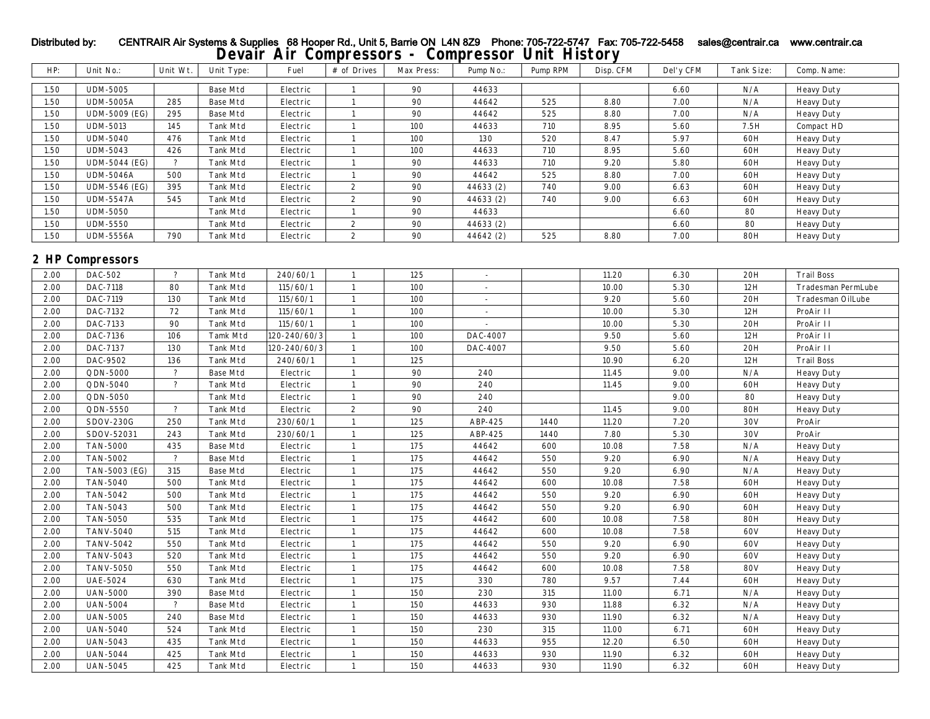| HP:  | Unit No.:            | Unit Wt.                 | Unit Type:      | Fuel         | # of Drives  | Max Press: | Pump No.:                | Pump RPM | Disp. CFM | Del'y CFM | Tank Size: | Comp. Name:               |
|------|----------------------|--------------------------|-----------------|--------------|--------------|------------|--------------------------|----------|-----------|-----------|------------|---------------------------|
| 1.50 | <b>UDM-5005</b>      |                          | <b>Base Mtd</b> | Electric     | 1            | 90         | 44633                    |          |           | 6.60      | N/A        | <b>Heavy Duty</b>         |
| 1.50 | <b>UDM-5005A</b>     | 285                      | <b>Base Mtd</b> | Electric     | $\mathbf{1}$ | 90         | 44642                    | 525      | 8.80      | 7.00      | N/A        | <b>Heavy Duty</b>         |
| 1.50 | <b>UDM-5009 (EG)</b> | 295                      | <b>Base Mtd</b> | Electric     | $\mathbf{1}$ | 90         | 44642                    | 525      | 8.80      | 7.00      | N/A        | <b>Heavy Duty</b>         |
| 1.50 | <b>UDM-5013</b>      | 145                      | <b>Tank Mtd</b> | Electric     | $\mathbf{1}$ | 100        | 44633                    | 710      | 8.95      | 5.60      | 7.5H       | Compact HD                |
| 1.50 | <b>UDM-5040</b>      | 476                      | <b>Tank Mtd</b> | Electric     | $\mathbf{1}$ | 100        | 130                      | 520      | 8.47      | 5.97      | 60H        | <b>Heavy Duty</b>         |
| 1.50 | <b>UDM-5043</b>      | 426                      | <b>Tank Mtd</b> | Electric     | $\mathbf{1}$ | 100        | 44633                    | 710      | 8.95      | 5.60      | 60H        | <b>Heavy Duty</b>         |
| 1.50 | <b>UDM-5044 (EG)</b> | $\overline{?}$           | <b>Tank Mtd</b> | Electric     | $\mathbf{1}$ | 90         | 44633                    | 710      | 9.20      | 5.80      | 60H        | <b>Heavy Duty</b>         |
| 1.50 | <b>UDM-5046A</b>     | 500                      | <b>Tank Mtd</b> | Electric     | $\mathbf{1}$ | 90         | 44642                    | 525      | 8.80      | 7.00      | 60H        | <b>Heavy Duty</b>         |
| 1.50 | UDM-5546 (EG)        | 395                      | <b>Tank Mtd</b> | Electric     | $\mathbf{2}$ | 90         | 44633 (2)                | 740      | 9.00      | 6.63      | 60H        | <b>Heavy Duty</b>         |
| 1.50 | <b>UDM-5547A</b>     | 545                      | <b>Tank Mtd</b> | Electric     | $\mathbf{2}$ | 90         | 44633 (2)                | 740      | 9.00      | 6.63      | 60H        | <b>Heavy Duty</b>         |
| 1.50 | <b>UDM-5050</b>      |                          | Tank Mtd        | Electric     | $\mathbf{1}$ | 90         | 44633                    |          |           | 6.60      | 80         | <b>Heavy Duty</b>         |
| 1.50 | <b>UDM-5550</b>      |                          | Tank Mtd        | Electric     | $\mathbf{2}$ | 90         | 44633 (2)                |          |           | 6.60      | 80         | <b>Heavy Duty</b>         |
| 1.50 | <b>UDM-5556A</b>     | 790                      | <b>Tank Mtd</b> | Electric     | $\mathbf{2}$ | 90         | 44642 (2)                | 525      | 8.80      | 7.00      | <b>80H</b> | <b>Heavy Duty</b>         |
|      |                      |                          |                 |              |              |            |                          |          |           |           |            |                           |
|      | 2 HP Compressors     |                          |                 |              |              |            |                          |          |           |           |            |                           |
| 2.00 | DAC-502              | $\ddot{\phantom{0}}$     | <b>Tank Mtd</b> | 240/60/1     | $\mathbf{1}$ | 125        | $\sim$                   |          | 11.20     | 6.30      | 20H        | <b>Trail Boss</b>         |
| 2.00 | DAC-7118             | 80                       | <b>Tank Mtd</b> | 115/60/1     | $\mathbf{1}$ | 100        | $\sim$                   |          | 10.00     | 5.30      | 12H        | <b>Tradesman PermLube</b> |
| 2.00 | DAC-7119             | 130                      | Tank Mtd        | 115/60/1     | $\mathbf{1}$ | 100        | $\overline{\phantom{a}}$ |          | 9.20      | 5.60      | 20H        | Tradesman OilLube         |
| 2.00 | DAC-7132             | 72                       | Tank Mtd        | 115/60/1     | $\mathbf{1}$ | 100        | $\sim$                   |          | 10.00     | 5.30      | 12H        | ProAir II                 |
| 2.00 | DAC-7133             | 90                       | <b>Tank Mtd</b> | 115/60/1     | $\mathbf{1}$ | 100        |                          |          | 10.00     | 5.30      | 20H        | ProAir II                 |
| 2.00 | DAC-7136             | 106                      | <b>Tamk Mtd</b> | 120-240/60/3 | $\mathbf{1}$ | 100        | DAC-4007                 |          | 9.50      | 5.60      | 12H        | ProAir II                 |
| 2.00 | DAC-7137             | 130                      | Tank Mtd        | 120-240/60/3 | $\mathbf{1}$ | 100        | DAC-4007                 |          | 9.50      | 5.60      | 20H        | ProAir II                 |
| 2.00 | DAC-9502             | 136                      | <b>Tank Mtd</b> | 240/60/1     | $\mathbf{1}$ | 125        |                          |          | 10.90     | 6.20      | 12H        | <b>Trail Boss</b>         |
| 2.00 | QDN-5000             | $\ddot{\phantom{0}}$     | <b>Base Mtd</b> | Electric     | $\mathbf{1}$ | 90         | 240                      |          | 11.45     | 9.00      | N/A        | <b>Heavy Duty</b>         |
| 2.00 | QDN-5040             | $\overline{\mathcal{L}}$ | <b>Tank Mtd</b> | Electric     | $\mathbf{1}$ | 90         | 240                      |          | 11.45     | 9.00      | 60H        | <b>Heavy Duty</b>         |
| 2.00 | QDN-5050             |                          | Tank Mtd        | Electric     | $\mathbf{1}$ | 90         | 240                      |          |           | 9.00      | 80         | <b>Heavy Duty</b>         |
| 2.00 | QDN-5550             | $\overline{?}$           | <b>Tank Mtd</b> | Electric     | $\mathbf{2}$ | 90         | 240                      |          | 11.45     | 9.00      | <b>80H</b> | <b>Heavy Duty</b>         |
| 2.00 | <b>SDOV-230G</b>     | 250                      | <b>Tank Mtd</b> | 230/60/1     | $\mathbf{1}$ | 125        | ABP-425                  | 1440     | 11.20     | 7.20      | 30V        | ProAir                    |
| 2.00 | SDOV-52031           | 243                      | <b>Tank Mtd</b> | 230/60/1     | $\mathbf{1}$ | 125        | ABP-425                  | 1440     | 7.80      | 5.30      | 30V        | ProAir                    |
| 2.00 | <b>TAN-5000</b>      | 435                      | <b>Base Mtd</b> | Electric     | $\mathbf{1}$ | 175        | 44642                    | 600      | 10.08     | 7.58      | N/A        | <b>Heavy Duty</b>         |
| 2.00 | <b>TAN-5002</b>      | $\overline{\mathcal{L}}$ | <b>Base Mtd</b> | Electric     | $\mathbf{1}$ | 175        | 44642                    | 550      | 9.20      | 6.90      | N/A        | <b>Heavy Duty</b>         |
| 2.00 | TAN-5003 (EG)        | 315                      | <b>Base Mtd</b> | Electric     | $\mathbf{1}$ | 175        | 44642                    | 550      | 9.20      | 6.90      | N/A        | <b>Heavy Duty</b>         |
| 2.00 | <b>TAN-5040</b>      | 500                      | <b>Tank Mtd</b> | Electric     | $\mathbf{1}$ | 175        | 44642                    | 600      | 10.08     | 7.58      | 60H        | <b>Heavy Duty</b>         |
| 2.00 | <b>TAN-5042</b>      | 500                      | <b>Tank Mtd</b> | Electric     | $\mathbf{1}$ | 175        | 44642                    | 550      | 9.20      | 6.90      | 60H        | <b>Heavy Duty</b>         |
| 2.00 | <b>TAN-5043</b>      | 500                      | Tank Mtd        | Electric     | $\mathbf{1}$ | 175        | 44642                    | 550      | 9.20      | 6.90      | 60H        | <b>Heavy Duty</b>         |
| 2.00 | <b>TAN-5050</b>      | 535                      | <b>Tank Mtd</b> | Electric     | $\mathbf{1}$ | 175        | 44642                    | 600      | 10.08     | 7.58      | <b>80H</b> | <b>Heavy Duty</b>         |
| 2.00 | <b>TANV-5040</b>     | 515                      | <b>Tank Mtd</b> | Electric     | $\mathbf{1}$ | 175        | 44642                    | 600      | 10.08     | 7.58      | 60V        | <b>Heavy Duty</b>         |
| 2.00 | <b>TANV-5042</b>     | 550                      | Tank Mtd        | Electric     | $\mathbf{1}$ | 175        | 44642                    | 550      | 9.20      | 6.90      | 60V        | <b>Heavy Duty</b>         |
| 2.00 | <b>TANV-5043</b>     | 520                      | Tank Mtd        | Electric     | $\mathbf{1}$ | 175        | 44642                    | 550      | 9.20      | 6.90      | 60V        | <b>Heavy Duty</b>         |
| 2.00 | <b>TANV-5050</b>     | 550                      | <b>Tank Mtd</b> | Electric     | $\mathbf{1}$ | 175        | 44642                    | 600      | 10.08     | 7.58      | <b>80V</b> | <b>Heavy Duty</b>         |
| 2.00 | <b>UAE-5024</b>      | 630                      | <b>Tank Mtd</b> | Electric     | $\mathbf{1}$ | 175        | 330                      | 780      | 9.57      | 7.44      | 60H        | <b>Heavy Duty</b>         |
| 2.00 | <b>UAN-5000</b>      | 390                      | <b>Base Mtd</b> | Electric     | $\mathbf{1}$ | 150        | 230                      | 315      | 11.00     | 6.71      | N/A        | <b>Heavy Duty</b>         |
| 2.00 | <b>UAN-5004</b>      | $\overline{\cdot}$       | <b>Base Mtd</b> | Electric     | $\mathbf{1}$ | 150        | 44633                    | 930      | 11.88     | 6.32      | N/A        | <b>Heavy Duty</b>         |
| 2.00 | <b>UAN-5005</b>      | 240                      | <b>Base Mtd</b> | Electric     | $\mathbf{1}$ | 150        | 44633                    | 930      | 11.90     | 6.32      | N/A        | <b>Heavy Duty</b>         |
| 2.00 | <b>UAN-5040</b>      | 524                      | <b>Tank Mtd</b> | Electric     | $\mathbf{1}$ | 150        | 230                      | 315      | 11.00     | 6.71      | 60H        | <b>Heavy Duty</b>         |
| 2.00 | <b>UAN-5043</b>      | 435                      | <b>Tank Mtd</b> | Electric     | $\mathbf{1}$ | 150        | 44633                    | 955      | 12.20     | 6.50      | 60H        | <b>Heavy Duty</b>         |
| 2.00 | <b>UAN-5044</b>      | 425                      | Tank Mtd        | Electric     | $\mathbf{1}$ | 150        | 44633                    | 930      | 11.90     | 6.32      | 60H        | <b>Heavy Duty</b>         |
| 2.00 | <b>UAN-5045</b>      | 425                      | Tank Mtd        | Electric     | $\mathbf{1}$ | 150        | 44633                    | 930      | 11.90     | 6.32      | 60H        | <b>Heavy Duty</b>         |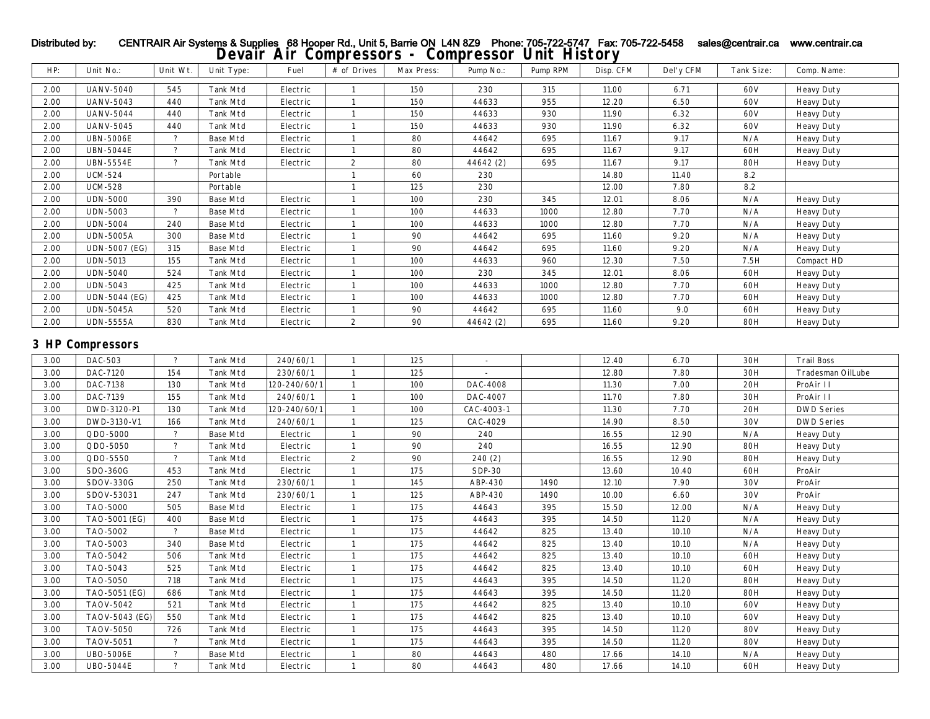| HP:      | Unit No.:               | Unit Wt.                 | Unit Type:      | Fuel         | $\#$ of Drives   | Max Press: | Pump No.:     | Pump RPM | Disp. CFM | Del'y CFM | <b>Tank Size:</b> | Comp. Name:       |
|----------|-------------------------|--------------------------|-----------------|--------------|------------------|------------|---------------|----------|-----------|-----------|-------------------|-------------------|
| 2.00     | <b>UANV-5040</b>        | 545                      | Tank Mtd        | Electric     | $\mathbf{1}$     | 150        | 230           | 315      | 11.00     | 6.71      | 60V               | <b>Heavy Duty</b> |
| 2.00     | <b>UANV-5043</b>        | 440                      | <b>Tank Mtd</b> | Electric     | $\mathbf{1}$     | 150        | 44633         | 955      | 12.20     | 6.50      | 60V               | <b>Heavy Duty</b> |
| 2.00     | <b>UANV-5044</b>        | 440                      | <b>Tank Mtd</b> | Electric     | 1                | 150        | 44633         | 930      | 11.90     | 6.32      | 60V               | <b>Heavy Duty</b> |
| 2.00     | <b>UANV-5045</b>        | 440                      | <b>Tank Mtd</b> | Electric     | 1                | 150        | 44633         | 930      | 11.90     | 6.32      | <b>60V</b>        | <b>Heavy Duty</b> |
| 2.00     | <b>UBN-5006E</b>        | $\overline{?}$           | <b>Base Mtd</b> | Electric     | $\mathbf{1}$     | 80         | 44642         | 695      | 11.67     | 9.17      | N/A               | <b>Heavy Duty</b> |
| 2.00     | <b>UBN-5044E</b>        | $\overline{?}$           | <b>Tank Mtd</b> | Electric     | $\mathbf{1}$     | 80         | 44642         | 695      | 11.67     | 9.17      | 60H               | <b>Heavy Duty</b> |
| 2.00     | <b>UBN-5554E</b>        | $\overline{\phantom{a}}$ | <b>Tank Mtd</b> | Electric     | $\boldsymbol{2}$ | 80         | 44642 (2)     | 695      | 11.67     | 9.17      | <b>80H</b>        | <b>Heavy Duty</b> |
| 2.00     | <b>UCM-524</b>          |                          | Portable        |              | $\mathbf{1}$     | 60         | 230           |          | 14.80     | 11.40     | 8.2               |                   |
| 2.00     | <b>UCM-528</b>          |                          | Portable        |              | $\mathbf{1}$     | 125        | 230           |          | 12.00     | 7.80      | 8.2               |                   |
| 2.00     | <b>UDN-5000</b>         | 390                      | <b>Base Mtd</b> | Electric     | $\mathbf{1}$     | 100        | 230           | 345      | 12.01     | 8.06      | N/A               | <b>Heavy Duty</b> |
| 2.00     | <b>UDN-5003</b>         | $\overline{?}$           | <b>Base Mtd</b> | Electric     | $\mathbf{1}$     | 100        | 44633         | 1000     | 12.80     | 7.70      | N/A               | <b>Heavy Duty</b> |
| 2.00     | <b>UDN-5004</b>         | 240                      | <b>Base Mtd</b> | Electric     | 1                | 100        | 44633         | 1000     | 12.80     | 7.70      | N/A               | <b>Heavy Duty</b> |
| 2.00     | <b>UDN-5005A</b>        | 300                      | <b>Base Mtd</b> | Electric     | $\mathbf{1}$     | 90         | 44642         | 695      | 11.60     | 9.20      | N/A               | <b>Heavy Duty</b> |
| 2.00     | <b>UDN-5007 (EG)</b>    | 315                      | <b>Base Mtd</b> | Electric     | $\mathbf{1}$     | 90         | 44642         | 695      | 11.60     | 9.20      | N/A               | <b>Heavy Duty</b> |
| 2.00     | <b>UDN-5013</b>         | 155                      | Tank Mtd        | Electric     | $\mathbf{1}$     | 100        | 44633         | 960      | 12.30     | 7.50      | 7.5H              | Compact HD        |
| 2.00     | <b>UDN-5040</b>         | 524                      | <b>Tank Mtd</b> | Electric     | $\mathbf{1}$     | 100        | 230           | 345      | 12.01     | 8.06      | 60H               | <b>Heavy Duty</b> |
| 2.00     | <b>UDN-5043</b>         | 425                      | <b>Tank Mtd</b> | Electric     | 1                | 100        | 44633         | 1000     | 12.80     | 7.70      | 60H               | <b>Heavy Duty</b> |
| 2.00     | <b>UDN-5044 (EG)</b>    | 425                      | <b>Tank Mtd</b> | Electric     | $\mathbf{1}$     | 100        | 44633         | 1000     | 12.80     | 7.70      | 60H               | <b>Heavy Duty</b> |
| $2.00\,$ | <b>UDN-5045A</b>        | 520                      | <b>Tank Mtd</b> | Electric     | $\mathbf{1}$     | $90\,$     | 44642         | 695      | 11.60     | 9.0       | 60H               | <b>Heavy Duty</b> |
| 2.00     | <b>UDN-5555A</b>        | 830                      | Tank Mtd        | Electric     | $\boldsymbol{2}$ | 90         | 44642 (2)     | 695      | 11.60     | 9.20      | <b>80H</b>        | <b>Heavy Duty</b> |
|          | <b>3 HP Compressors</b> |                          |                 |              |                  |            |               |          |           |           |                   |                   |
| 3.00     | DAC-503                 | $\overline{?}$           | <b>Tank Mtd</b> | 240/60/1     | $\mathbf{1}$     | 125        | $\sim$        |          | 12.40     | 6.70      | 30H               | <b>Trail Boss</b> |
| 3.00     | DAC-7120                | 154                      | <b>Tank Mtd</b> | 230/60/1     | $\mathbf{1}$     | 125        |               |          | 12.80     | 7.80      | 30H               | Tradesman OilLube |
| 3.00     | DAC-7138                | 130                      | <b>Tank Mtd</b> | 120-240/60/1 | $\mathbf{1}$     | 100        | DAC-4008      |          | 11.30     | 7.00      | 20H               | ProAir II         |
| 3.00     | DAC-7139                | 155                      | <b>Tank Mtd</b> | 240/60/1     | $\mathbf{1}$     | 100        | DAC-4007      |          | 11.70     | 7.80      | 30H               | ProAir II         |
| 3.00     | DWD-3120-P1             | 130                      | <b>Tank Mtd</b> | 120-240/60/1 | $\mathbf{1}$     | 100        | CAC-4003-1    |          | 11.30     | 7.70      | 20H               | <b>DWD Series</b> |
| 3.00     | DWD-3130-V1             | 166                      | Tank Mtd        | 240/60/1     | $\mathbf{1}$     | 125        | CAC-4029      |          | 14.90     | 8.50      | 30V               | <b>DWD Series</b> |
| 3.00     | QDO-5000                | $\overline{?}$           | <b>Base Mtd</b> | Electric     | $\mathbf{1}$     | 90         | 240           |          | 16.55     | 12.90     | N/A               | <b>Heavy Duty</b> |
| 3.00     | QDO-5050                | $\overline{\mathbf{?}}$  | <b>Tank Mtd</b> | Electric     | 1                | 90         | 240           |          | 16.55     | 12.90     | <b>80H</b>        | <b>Heavy Duty</b> |
| 3.00     | QDO-5550                | $\overline{\phantom{a}}$ | <b>Tank Mtd</b> | Electric     | $\boldsymbol{2}$ | 90         | 240 (2)       |          | 16.55     | 12.90     | <b>80H</b>        | <b>Heavy Duty</b> |
| 3.00     | SDO-360G                | 453                      | <b>Tank Mtd</b> | Electric     | $\mathbf{1}$     | 175        | <b>SDP-30</b> |          | 13.60     | 10.40     | 60H               | ProAir            |
| 3.00     | SDOV-330G               | 250                      | Tank Mtd        | 230/60/1     | $\mathbf{1}$     | 145        | ABP-430       | 1490     | 12.10     | 7.90      | 30V               | ProAir            |
| 3.00     | SDOV-53031              | 247                      | <b>Tank Mtd</b> | 230/60/1     | $\mathbf{1}$     | 125        | ABP-430       | 1490     | 10.00     | 6.60      | 30V               | ProAir            |
| 3.00     | <b>TAO-5000</b>         | 505                      | <b>Base Mtd</b> | Electric     | $\mathbf{1}$     | 175        | 44643         | 395      | 15.50     | 12.00     | N/A               | <b>Heavy Duty</b> |
| 3.00     | TAO-5001 (EG)           | 400                      | <b>Base Mtd</b> | Electric     | $\mathbf{1}$     | 175        | 44643         | 395      | 14.50     | 11.20     | N/A               | <b>Heavy Duty</b> |
| 3.00     | TAO-5002                | $\overline{\phantom{a}}$ | <b>Base Mtd</b> | Electric     | $\mathbf{1}$     | 175        | 44642         | 825      | 13.40     | 10.10     | N/A               | <b>Heavy Duty</b> |
| 3.00     | TAO-5003                | 340                      | <b>Base Mtd</b> | Electric     | 1                | 175        | 44642         | 825      | 13.40     | 10.10     | N/A               | <b>Heavy Duty</b> |
| 3.00     | TAO-5042                | 506                      | <b>Tank Mtd</b> | Electric     | $\mathbf{1}$     | 175        | 44642         | 825      | 13.40     | 10.10     | 60H               | <b>Heavy Duty</b> |
| 3.00     | TAO-5043                | 525                      | <b>Tank Mtd</b> | Electric     | $\mathbf{1}$     | 175        | 44642         | 825      | 13.40     | 10.10     | 60H               | <b>Heavy Duty</b> |
| 3.00     | TAO-5050                | 718                      | <b>Tank Mtd</b> | Electric     | $\mathbf{1}$     | 175        | 44643         | 395      | 14.50     | 11.20     | <b>80H</b>        | <b>Heavy Duty</b> |
| 3.00     | TAO-5051 (EG)           | 686                      | <b>Tank Mtd</b> | Electric     | $\mathbf{1}$     | 175        | 44643         | 395      | 14.50     | 11.20     | <b>80H</b>        | <b>Heavy Duty</b> |
| 3.00     | <b>TAOV-5042</b>        | 521                      | <b>Tank Mtd</b> | Electric     |                  | 175        | 44642         | 825      | 13.40     | 10.10     | 60V               | <b>Heavy Duty</b> |
| 3.00     | TAOV-5043 (EG)          | 550                      | <b>Tank Mtd</b> | Electric     | $\mathbf{1}$     | 175        | 44642         | 825      | 13.40     | 10.10     | 60V               | <b>Heavy Duty</b> |
| 3.00     | <b>TAOV-5050</b>        | 726                      | <b>Tank Mtd</b> | Electric     | $\mathbf{1}$     | 175        | 44643         | 395      | 14.50     | 11.20     | <b>80V</b>        | <b>Heavy Duty</b> |

3.00 | TAOV-5051 | ? | Tank Mtd | Electric | 1 | 175 | 44643 | 395 | 14.50 | 11.20 | 80V | Heavy Duty 3.00 | UBO-5006E | ? | Base Mtd | Electric | 1 | 80 | 44643 | 480 | 17.66 | 14.10 | N/A | Heavy Duty 3.00 | UBO-5044E | ? | Tank Mtd | Electric | 1 | 80 | 44643 | 480 | 17.66 | 14.10 | 60H | Heavy Duty

# Distributed by: CENTRAIR Air Systems & Supplies 68 Hooper Rd., Unit 5, Barrie ON L4N 8Z9 Phone: 705-722-5747 Fax: 705-722-5458 sales@centrair.ca www.centrair.ca **Devair Air Compressors - Compressor Unit History**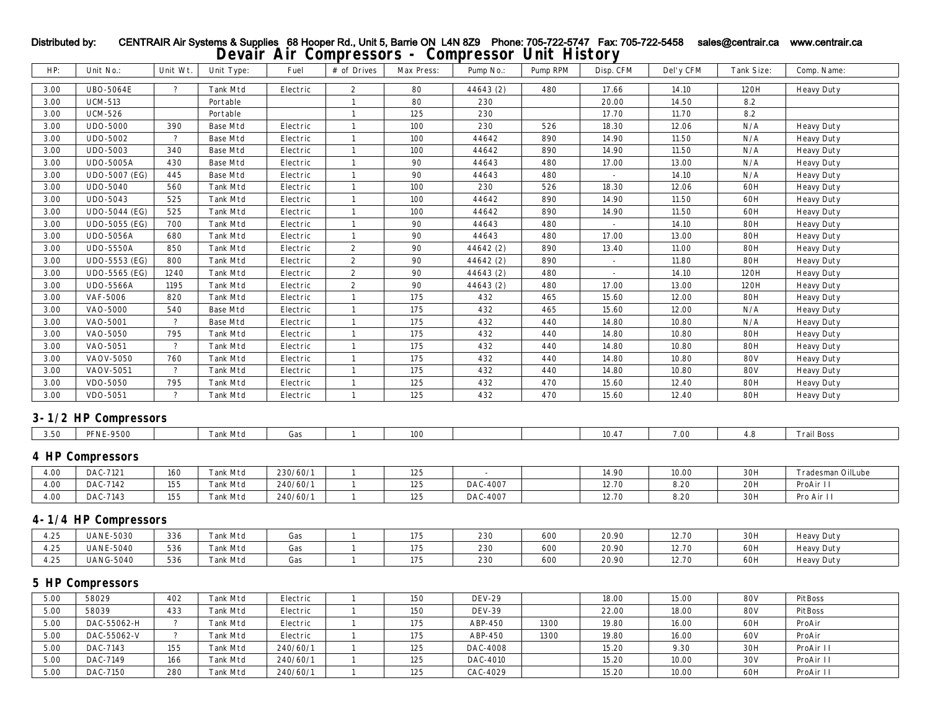| HP:  | Unit No.:               | Unit Wt.           | Unit Type:      | Fuel             | # of Drives      | Max Press: | Pump No.:     | Pump RPM | Disp. CFM      | Del'y CFM | Tank Size:     | Comp. Name:       |
|------|-------------------------|--------------------|-----------------|------------------|------------------|------------|---------------|----------|----------------|-----------|----------------|-------------------|
| 3.00 | <b>UBO-5064E</b>        | $\overline{?}$     | <b>Tank Mtd</b> | Electric         | $\boldsymbol{2}$ | 80         | 44643 (2)     | 480      | 17.66          | 14.10     | 120H           | <b>Heavy Duty</b> |
| 3.00 | <b>UCM-513</b>          |                    | Portable        |                  | $\mathbf{1}$     | 80         | 230           |          | 20.00          | 14.50     | 8.2            |                   |
| 3.00 | <b>UCM-526</b>          |                    | Portable        |                  | $\mathbf{1}$     | 125        | 230           |          | 17.70          | 11.70     | 8.2            |                   |
| 3.00 | <b>UDO-5000</b>         | 390                | <b>Base Mtd</b> | Electric         | $\mathbf{1}$     | 100        | 230           | 526      | 18.30          | 12.06     | N/A            | <b>Heavy Duty</b> |
| 3.00 | <b>UDO-5002</b>         | $\overline{\cdot}$ | <b>Base Mtd</b> | Electric         | $\mathbf{1}$     | 100        | 44642         | 890      | 14.90          | 11.50     | N/A            | <b>Heavy Duty</b> |
| 3.00 | <b>UDO-5003</b>         | 340                | <b>Base Mtd</b> | Electric         | $\mathbf{1}$     | 100        | 44642         | 890      | 14.90          | 11.50     | N/A            | <b>Heavy Duty</b> |
| 3.00 | <b>UDO-5005A</b>        | 430                | <b>Base Mtd</b> | Electric         | $\mathbf{1}$     | 90         | 44643         | 480      | 17.00          | 13.00     | N/A            | <b>Heavy Duty</b> |
| 3.00 | <b>UDO-5007 (EG)</b>    | 445                | <b>Base Mtd</b> | Electric         | $\mathbf{1}$     | 90         | 44643         | 480      | $\mathbb{Z}^2$ | 14.10     | N/A            | <b>Heavy Duty</b> |
| 3.00 | <b>UDO-5040</b>         | 560                | <b>Tank Mtd</b> | Electric         | $\mathbf{1}$     | 100        | 230           | 526      | 18.30          | 12.06     | 60H            | <b>Heavy Duty</b> |
| 3.00 | UDO-5043                | 525                | <b>Tank Mtd</b> | Electric         | $\mathbf{1}$     | 100        | 44642         | 890      | 14.90          | 11.50     | 60H            | <b>Heavy Duty</b> |
| 3.00 | <b>UDO-5044 (EG)</b>    | 525                | Tank Mtd        | Electric         | $\mathbf{1}$     | 100        | 44642         | 890      | 14.90          | 11.50     | 60H            | <b>Heavy Duty</b> |
| 3.00 | UDO-5055 (EG)           | 700                | <b>Tank Mtd</b> | Electric         | $\mathbf{1}$     | 90         | 44643         | 480      | $\mathbb{Z}^+$ | 14.10     | <b>80H</b>     | <b>Heavy Duty</b> |
| 3.00 | <b>UDO-5056A</b>        | 680                | Tank Mtd        | Electric         | $\mathbf{1}$     | 90         | 44643         | 480      | 17.00          | 13.00     | <b>80H</b>     | <b>Heavy Duty</b> |
| 3.00 | <b>UDO-5550A</b>        | 850                | <b>Tank Mtd</b> | Electric         | $\boldsymbol{2}$ | 90         | 44642 (2)     | 890      | 13.40          | 11.00     | <b>80H</b>     | <b>Heavy Duty</b> |
| 3.00 | UDO-5553 (EG)           | 800                | Tank Mtd        | Electric         | $\boldsymbol{2}$ | 90         | 44642 (2)     | 890      | $\sim$         | 11.80     | <b>80H</b>     | <b>Heavy Duty</b> |
| 3.00 | UDO-5565 (EG)           | 1240               | Tank Mtd        | Electric         | $\boldsymbol{2}$ | 90         | 44643 (2)     | 480      | $\sim$         | 14.10     | 120H           | <b>Heavy Duty</b> |
| 3.00 | <b>UDO-5566A</b>        | 1195               | <b>Tank Mtd</b> | Electric         | $\boldsymbol{2}$ | 90         | 44643 (2)     | 480      | 17.00          | 13.00     | 120H           | <b>Heavy Duty</b> |
| 3.00 | <b>VAF-5006</b>         | 820                | Tank Mtd        | Electric         | $\mathbf{1}$     | 175        | 432           | 465      | 15.60          | 12.00     | <b>80H</b>     | <b>Heavy Duty</b> |
| 3.00 | <b>VAO-5000</b>         | 540                | <b>Base Mtd</b> | Electric         | $\mathbf{1}$     | 175        | 432           | 465      | 15.60          | 12.00     | N/A            | <b>Heavy Duty</b> |
| 3.00 | VAO-5001                | $\overline{\cdot}$ | <b>Base Mtd</b> | Electric         | $\mathbf{1}$     | 175        | 432           | 440      | 14.80          | 10.80     | N/A            | <b>Heavy Duty</b> |
| 3.00 | VAO-5050                | 795                | <b>Tank Mtd</b> | Electric         | $\mathbf{1}$     | 175        | 432           | 440      | 14.80          | 10.80     | <b>80H</b>     | <b>Heavy Duty</b> |
| 3.00 | VAO-5051                | $\overline{?}$     | <b>Tank Mtd</b> | Electric         | $\mathbf{1}$     | 175        | 432           | 440      | 14.80          | 10.80     | <b>80H</b>     | <b>Heavy Duty</b> |
| 3.00 | <b>VAOV-5050</b>        | 760                | <b>Tank Mtd</b> | Electric         | $\mathbf{1}$     | 175        | 432           | 440      | 14.80          | 10.80     | <b>80V</b>     | <b>Heavy Duty</b> |
| 3.00 | <b>VAOV-5051</b>        | $\overline{?}$     | <b>Tank Mtd</b> | Electric         | $\mathbf{1}$     | 175        | 432           | 440      | 14.80          | 10.80     | <b>80V</b>     | <b>Heavy Duty</b> |
| 3.00 | VDO-5050                | 795                | Tank Mtd        | Electric         | $\mathbf{1}$     | 125        | 432           | 470      | 15.60          | 12.40     | <b>80H</b>     | <b>Heavy Duty</b> |
| 3.00 | VDO-5051                | $\overline{?}$     | <b>Tank Mtd</b> | ${\rm Electric}$ | $\mathbf{1}$     | 125        | 432           | 470      | 15.60          | 12.40     | <b>80H</b>     | <b>Heavy Duty</b> |
|      | 3-1/2 HP Compressors    |                    |                 |                  |                  |            |               |          |                |           |                |                   |
|      |                         |                    |                 |                  |                  |            |               |          |                |           |                |                   |
| 3.50 | <b>PFNE-9500</b>        |                    | <b>Tank Mtd</b> | Gas              | $\mathbf{1}$     | 100        |               |          | 10.47          | 7.00      | 4.8            | <b>Trail Boss</b> |
|      | <b>4 HP Compressors</b> |                    |                 |                  |                  |            |               |          |                |           |                |                   |
| 4.00 | DAC-7121                | 160                | <b>Tank Mtd</b> | 230/60/1         | 1                | 125        |               |          | 14.90          | 10.00     | 30H            | Tradesman OilLube |
| 4.00 | DAC-7142                | 155                | Tank Mtd        | 240/60/1         | $\mathbf{1}$     | 125        | DAC-4007      |          | 12.70          | 8.20      | 20H            | ProAir II         |
| 4.00 | DAC-7143                | 155                | <b>Tank Mtd</b> | 240/60/1         | $\mathbf{1}$     | 125        | DAC-4007      |          | 12.70          | 8.20      | 30H            | Pro Air II        |
|      | 4-1/4 HP Compressors    |                    |                 |                  |                  |            |               |          |                |           |                |                   |
| 4.25 | <b>UANE-5030</b>        | 336                | <b>Tank Mtd</b> | Gas              | $\mathbf{1}$     | 175        | 230           | 600      | 20.90          | 12.70     | $30\mathrm{H}$ | <b>Heavy Duty</b> |
| 4.25 | <b>UANE-5040</b>        | 536                | <b>Tank Mtd</b> | Gas              | $\mathbf{1}$     | 175        | 230           | 600      | 20.90          | 12.70     | 60H            | <b>Heavy Duty</b> |
| 4.25 | <b>UANG-5040</b>        | 536                | <b>Tank Mtd</b> | Gas              | $\mathbf{1}$     | 175        | 230           | 600      | 20.90          | 12.70     | 60H            | <b>Heavy Duty</b> |
|      | <b>5 HP Compressors</b> |                    |                 |                  |                  |            |               |          |                |           |                |                   |
| 5.00 | 58029                   | 402                | <b>Tank Mtd</b> | Electric         | $\mathbf{1}$     | 150        | <b>DEV-29</b> |          | 18.00          | 15.00     | <b>80V</b>     | PitBoss           |
| 5.00 | 58039                   | 433                | <b>Tank Mtd</b> | Electric         | $\mathbf{1}$     | 150        | <b>DEV-39</b> |          | 22.00          | 18.00     | <b>80V</b>     | PitBoss           |
| 5.00 | DAC-55062-H             | $\overline{?}$     | <b>Tank Mtd</b> | Electric         | $\mathbf{1}$     | 175        | ABP-450       | 1300     | 19.80          | 16.00     | 60H            | ProAir            |
| 5.00 | DAC-55062-V             | $\overline{?}$     | <b>Tank Mtd</b> | Electric         | $\mathbf{1}$     | 175        | ABP-450       | 1300     | 19.80          | 16.00     | 60V            | ProAir            |
| 5.00 | DAC-7143                | 155                | <b>Tank Mtd</b> | 240/60/1         | $\mathbf{1}$     | 125        | DAC-4008      |          | 15.20          | 9.30      | 30H            | ProAir II         |

5.00 DAC-7149 166 Tank Mtd 240/60/1 1 125 DAC-4010 15.20 10.00 30V ProAir II 5.00 | DAC-7150 | 280 | Tank Mtd | 240/60/1 | 1 | 125 | CAC-4029 | | 15.20 | 10.00 | 60H | ProAir II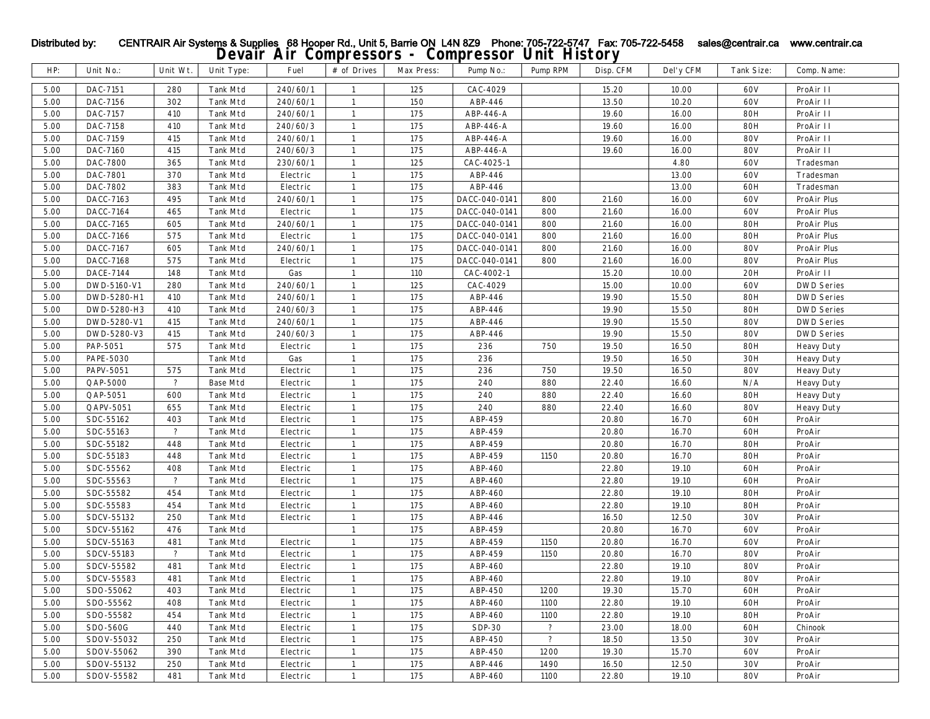|      |             |                          |                 |          | - ---- ---   |            |               |                      |           |           |            |                   |
|------|-------------|--------------------------|-----------------|----------|--------------|------------|---------------|----------------------|-----------|-----------|------------|-------------------|
| HP:  | Unit No.:   | Unit Wt.                 | Unit Type:      | Fuel     | # of Drives  | Max Press: | Pump No.:     | Pump RPM             | Disp. CFM | Del'y CFM | Tank Size: | Comp. Name:       |
| 5.00 | DAC-7151    | 280                      | <b>Tank Mtd</b> | 240/60/1 | -1           | 125        | CAC-4029      |                      | 15.20     | 10.00     | 60V        | ProAir II         |
| 5.00 | DAC-7156    | 302                      | Tank Mtd        | 240/60/1 | $\mathbf{1}$ | 150        | ABP-446       |                      | 13.50     | 10.20     | 60V        | ProAir II         |
| 5.00 | DAC-7157    | 410                      | Tank Mtd        | 240/60/1 | $\mathbf{1}$ | 175        | ABP-446-A     |                      | 19.60     | 16.00     | <b>80H</b> | ProAir II         |
| 5.00 | DAC-7158    | 410                      | <b>Tank Mtd</b> | 240/60/3 | $\mathbf{1}$ | 175        | ABP-446-A     |                      | 19.60     | 16.00     | <b>80H</b> | ProAir II         |
| 5.00 | DAC-7159    | 415                      | <b>Tank Mtd</b> | 240/60/1 | 1            | 175        | ABP-446-A     |                      | 19.60     | 16.00     | <b>80V</b> | ProAir II         |
| 5.00 | DAC-7160    | 415                      | Tank Mtd        | 240/60/3 | $\mathbf{1}$ | 175        | ABP-446-A     |                      | 19.60     | 16.00     | <b>80V</b> | ProAir II         |
| 5.00 | DAC-7800    | 365                      | <b>Tank Mtd</b> | 230/60/1 | $\mathbf{1}$ | 125        | CAC-4025-1    |                      |           | 4.80      | 60V        | Tradesman         |
| 5.00 | DAC-7801    | 370                      | Tank Mtd        | Electric | $\mathbf{1}$ | 175        | ABP-446       |                      |           | 13.00     | 60V        | Tradesman         |
| 5.00 | DAC-7802    | 383                      | <b>Tank Mtd</b> | Electric | $\mathbf{1}$ | 175        | ABP-446       |                      |           | 13.00     | 60H        | Tradesman         |
| 5.00 | DACC-7163   | 495                      | Tank Mtd        | 240/60/1 | $\mathbf{1}$ | 175        | DACC-040-0141 | 800                  | 21.60     | 16.00     | 60V        | ProAir Plus       |
| 5.00 | DACC-7164   | 465                      | <b>Tank Mtd</b> | Electric | $\mathbf{1}$ | 175        | DACC-040-0141 | 800                  | 21.60     | 16.00     | 60V        | ProAir Plus       |
| 5.00 | DACC-7165   | 605                      | <b>Tank Mtd</b> | 240/60/1 | $\mathbf{1}$ | 175        | DACC-040-0141 | 800                  | 21.60     | 16.00     | <b>80H</b> | ProAir Plus       |
| 5.00 | DACC-7166   | 575                      | <b>Tank Mtd</b> | Electric | -1           | 175        | DACC-040-0141 | 800                  | 21.60     | 16.00     | <b>80H</b> | ProAir Plus       |
| 5.00 | DACC-7167   | 605                      | Tank Mtd        | 240/60/1 | $\mathbf{1}$ | 175        | DACC-040-0141 | 800                  | 21.60     | 16.00     | <b>80V</b> | ProAir Plus       |
| 5.00 | DACC-7168   | 575                      | <b>Tank Mtd</b> | Electric | 1            | 175        | DACC-040-0141 | 800                  | 21.60     | 16.00     | <b>80V</b> | ProAir Plus       |
| 5.00 | DACE-7144   | 148                      | <b>Tank Mtd</b> | Gas      | 1            | 110        | CAC-4002-1    |                      | 15.20     | 10.00     | 20H        | ProAir II         |
| 5.00 | DWD-5160-V1 | 280                      | <b>Tank Mtd</b> | 240/60/1 | -1           | 125        | CAC-4029      |                      | 15.00     | 10.00     | 60V        | <b>DWD Series</b> |
| 5.00 | DWD-5280-H1 | 410                      | Tank Mtd        | 240/60/1 | $\mathbf{1}$ | 175        | ABP-446       |                      | 19.90     | 15.50     | <b>80H</b> | <b>DWD Series</b> |
| 5.00 | DWD-5280-H3 | 410                      | <b>Tank Mtd</b> | 240/60/3 | 1            | 175        | ABP-446       |                      | 19.90     | 15.50     | <b>80H</b> | <b>DWD Series</b> |
| 5.00 | DWD-5280-V1 | 415                      | <b>Tank Mtd</b> | 240/60/1 | 1            | 175        | ABP-446       |                      | 19.90     | 15.50     | <b>80V</b> | <b>DWD Series</b> |
| 5.00 | DWD-5280-V3 | 415                      | <b>Tank Mtd</b> | 240/60/3 | $\mathbf{1}$ | 175        | ABP-446       |                      | 19.90     | 15.50     | <b>80V</b> | <b>DWD Series</b> |
| 5.00 | PAP-5051    | 575                      | <b>Tank Mtd</b> | Electric | $\mathbf{1}$ | 175        | 236           | 750                  | 19.50     | 16.50     | <b>80H</b> | <b>Heavy Duty</b> |
| 5.00 | PAPE-5030   |                          | <b>Tank Mtd</b> | Gas      | -1           | 175        | 236           |                      | 19.50     | 16.50     | 30H        | <b>Heavy Duty</b> |
| 5.00 | PAPV-5051   | 575                      | <b>Tank Mtd</b> | Electric | 1            | 175        | 236           | 750                  | 19.50     | 16.50     | <b>80V</b> | <b>Heavy Duty</b> |
| 5.00 | QAP-5000    | $\overline{\mathcal{E}}$ | <b>Base Mtd</b> | Electric | $\mathbf{1}$ | 175        | 240           | 880                  | 22.40     | 16.60     | N/A        | <b>Heavy Duty</b> |
| 5.00 | QAP-5051    | 600                      | <b>Tank Mtd</b> | Electric | $\mathbf{1}$ | 175        | 240           | 880                  | 22.40     | 16.60     | <b>80H</b> | <b>Heavy Duty</b> |
| 5.00 | QAPV-5051   | 655                      | <b>Tank Mtd</b> | Electric | $\mathbf{1}$ | 175        | 240           | 880                  | 22.40     | 16.60     | <b>80V</b> | <b>Heavy Duty</b> |
| 5.00 | SDC-55162   | 403                      | Tank Mtd        | Electric | $\mathbf{1}$ | 175        | ABP-459       |                      | 20.80     | 16.70     | 60H        | ProAir            |
| 5.00 | SDC-55163   | $\overline{\phantom{a}}$ | Tank Mtd        | Electric | $\mathbf{1}$ | 175        | ABP-459       |                      | 20.80     | 16.70     | 60H        | ProAir            |
| 5.00 | SDC-55182   | 448                      | <b>Tank Mtd</b> | Electric | $\mathbf{1}$ | 175        | ABP-459       |                      | 20.80     | 16.70     | <b>80H</b> | ProAir            |
| 5.00 | SDC-55183   | 448                      | <b>Tank Mtd</b> | Electric | 1            | 175        | ABP-459       | 1150                 | 20.80     | 16.70     | <b>80H</b> | ProAir            |
| 5.00 | SDC-55562   | 408                      | <b>Tank Mtd</b> | Electric | 1            | 175        | ABP-460       |                      | 22.80     | 19.10     | 60H        | ProAir            |
| 5.00 | SDC-55563   | $\ddot{\phantom{0}}$     | <b>Tank Mtd</b> | Electric | $\mathbf{1}$ | 175        | ABP-460       |                      | 22.80     | 19.10     | 60H        | ProAir            |
| 5.00 | SDC-55582   | 454                      | <b>Tank Mtd</b> | Electric | $\mathbf{1}$ | 175        | ABP-460       |                      | 22.80     | 19.10     | <b>80H</b> | ProAir            |
| 5.00 | SDC-55583   | 454                      | <b>Tank Mtd</b> | Electric | 1            | 175        | ABP-460       |                      | 22.80     | 19.10     | <b>80H</b> | ProAir            |
| 5.00 | SDCV-55132  | 250                      | <b>Tank Mtd</b> | Electric | $\mathbf{1}$ | 175        | ABP-446       |                      | 16.50     | 12.50     | 30V        | ProAir            |
| 5.00 | SDCV-55162  | 476                      | <b>Tank Mtd</b> |          | $\mathbf{1}$ | 175        | ABP-459       |                      | 20.80     | 16.70     | 60V        | ProAir            |
| 5.00 | SDCV-55163  | 481                      | <b>Tank Mtd</b> | Electric | $\mathbf{1}$ | 175        | ABP-459       | 1150                 | 20.80     | 16.70     | 60V        | ProAir            |
| 5.00 | SDCV-55183  | $\overline{?}$           | <b>Tank Mtd</b> | Electric | 1            | 175        | ABP-459       | 1150                 | 20.80     | 16.70     | <b>80V</b> | ProAir            |
| 5.00 | SDCV-55582  | 481                      | Tank Mtd        | Electric | $\mathbf{1}$ | 175        | ABP-460       |                      | 22.80     | 19.10     | <b>80V</b> | ProAir            |
| 5.00 | SDCV-55583  | 481                      | <b>Tank Mtd</b> | Electric | $\mathbf{1}$ | 175        | ABP-460       |                      | 22.80     | 19.10     | <b>80V</b> | ProAir            |
| 5.00 | SDO-55062   | 403                      | <b>Tank Mtd</b> | Electric | 1            | 175        | ABP-450       | 1200                 | 19.30     | 15.70     | 60H        | ProAir            |
| 5.00 | SDO-55562   | 408                      | <b>Tank Mtd</b> | Electric | 1            | 175        | ABP-460       | 1100                 | 22.80     | 19.10     | 60H        | ProAir            |
| 5.00 | SDO-55582   | 454                      | Tank Mtd        | Electric | $\mathbf{1}$ | 175        | ABP-460       | 1100                 | 22.80     | 19.10     | <b>80H</b> | ProAir            |
| 5.00 | SDO-560G    | 440                      | Tank Mtd        | Electric | $\mathbf{1}$ | 175        | $SDP-30$      | $\ddot{\phantom{0}}$ | 23.00     | 18.00     | 60H        | Chinook           |
| 5.00 | SDOV-55032  | 250                      | Tank Mtd        | Electric | 1            | 175        | ABP-450       | $\ddot{\phantom{0}}$ | 18.50     | 13.50     | 30V        | ProAir            |
| 5.00 | SDOV-55062  | 390                      | <b>Tank Mtd</b> | Electric | 1            | 175        | ABP-450       | 1200                 | 19.30     | 15.70     | 60V        | ProAir            |
| 5.00 | SDOV-55132  | 250                      | <b>Tank Mtd</b> | Electric | $\mathbf{1}$ | 175        | ABP-446       | 1490                 | 16.50     | 12.50     | 30V        | ProAir            |
| 5.00 | SDOV-55582  | 481                      | Tank Mtd        | Electric | $\mathbf{1}$ | 175        | ABP-460       | 1100                 | 22.80     | 19.10     | <b>80V</b> | ProAir            |
|      |             |                          |                 |          |              |            |               |                      |           |           |            |                   |

## Distributed by: CENTRAIR Air Systems & Supplies 68 Hooper Rd., Unit 5, Barrie ON L4N 8Z9 Phone: 705-722-5747 Fax: 705-722-5458 sales@centrair.ca www.centrair.ca **Devair Air Compressors - Compressor Unit History**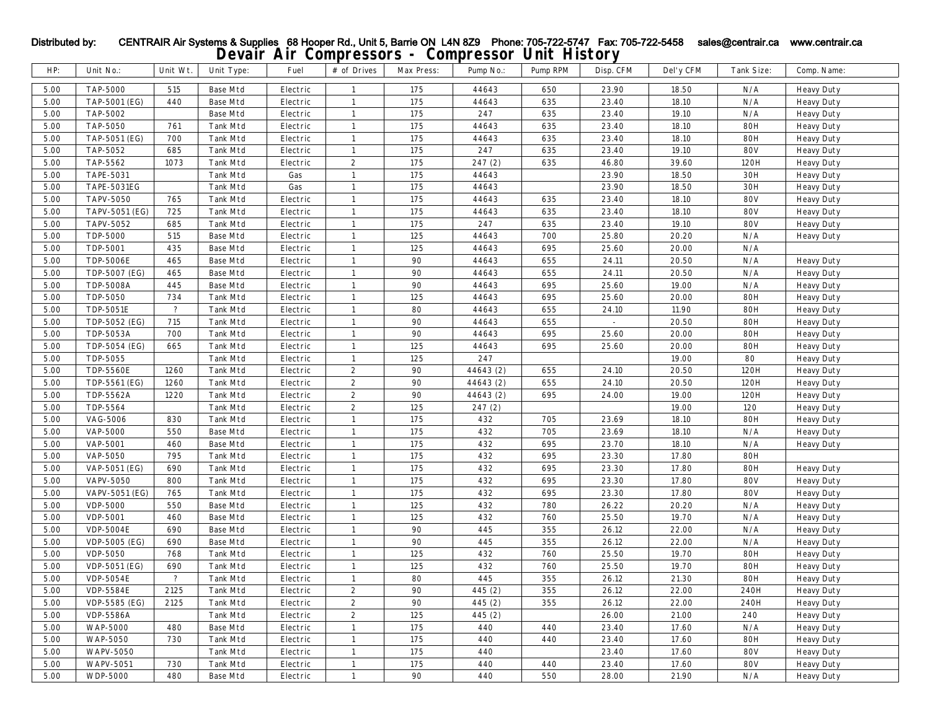|      |                    |                          |                 |                  | ------           | $\bullet$  | -----     |          |                          |           |                 |                   |
|------|--------------------|--------------------------|-----------------|------------------|------------------|------------|-----------|----------|--------------------------|-----------|-----------------|-------------------|
| HP:  | Unit No.:          | Unit Wt.                 | Unit Type:      | Fuel             | # of Drives      | Max Press: | Pump No.: | Pump RPM | Disp. CFM                | Del'y CFM | Tank Size:      | Comp. Name:       |
| 5.00 | <b>TAP-5000</b>    | 515                      | <b>Base Mtd</b> | Electric         | 1                | 175        | 44643     | 650      | 23.90                    | 18.50     | N/A             | <b>Heavy Duty</b> |
| 5.00 | TAP-5001 (EG)      | 440                      | <b>Base Mtd</b> | Electric         | $\mathbf{1}$     | 175        | 44643     | 635      | 23.40                    | 18.10     | $\rm N/A$       | <b>Heavy Duty</b> |
| 5.00 | TAP-5002           |                          | <b>Base Mtd</b> | ${\rm Electric}$ | $\mathbf{1}$     | 175        | 247       | 635      | 23.40                    | 19.10     | N/A             | <b>Heavy Duty</b> |
| 5.00 | TAP-5050           | 761                      | <b>Tank Mtd</b> | Electric         | $\mathbf{1}$     | 175        | 44643     | 635      | 23.40                    | 18.10     | <b>80H</b>      | <b>Heavy Duty</b> |
| 5.00 | TAP-5051 (EG)      | 700                      | <b>Tank Mtd</b> | Electric         | $\mathbf{1}$     | 175        | 44643     | 635      | 23.40                    | 18.10     | <b>80H</b>      | <b>Heavy Duty</b> |
| 5.00 | TAP-5052           | 685                      | Tank Mtd        | Electric         | $\mathbf{1}$     | 175        | 247       | 635      | 23.40                    | 19.10     | <b>80V</b>      | <b>Heavy Duty</b> |
| 5.00 | TAP-5562           | 1073                     | <b>Tank Mtd</b> | Electric         | $\boldsymbol{2}$ | 175        | 247(2)    | 635      | 46.80                    | 39.60     | 120H            | <b>Heavy Duty</b> |
| 5.00 | TAPE-5031          |                          | <b>Tank Mtd</b> | Gas              | $\mathbf{1}$     | 175        | 44643     |          | $23.90\,$                | 18.50     | $30\mathrm{H}$  | <b>Heavy Duty</b> |
| 5.00 | <b>TAPE-5031EG</b> |                          | Tank Mtd        | Gas              | $\mathbf{1}$     | $175\,$    | 44643     |          | 23.90                    | 18.50     | 30 <sub>H</sub> | <b>Heavy Duty</b> |
| 5.00 | <b>TAPV-5050</b>   | 765                      | Tank Mtd        | Electric         | $\mathbf{1}$     | 175        | 44643     | 635      | 23.40                    | 18.10     | <b>80V</b>      | <b>Heavy Duty</b> |
| 5.00 | TAPV-5051 (EG)     | 725                      | <b>Tank Mtd</b> | Electric         | $\mathbf{1}$     | 175        | 44643     | 635      | 23.40                    | 18.10     | <b>80V</b>      | <b>Heavy Duty</b> |
| 5.00 | TAPV-5052          | 685                      | <b>Tank Mtd</b> | Electric         | 1                | 175        | 247       | 635      | 23.40                    | 19.10     | <b>80V</b>      | <b>Heavy Duty</b> |
| 5.00 | TDP-5000           | 515                      | <b>Base Mtd</b> | Electric         | 1                | $125\,$    | 44643     | 700      | 25.80                    | 20.20     | N/A             | <b>Heavy Duty</b> |
| 5.00 | TDP-5001           | 435                      | <b>Base Mtd</b> | ${\rm Electric}$ | $\mathbf{1}$     | 125        | 44643     | 695      | 25.60                    | 20.00     | N/A             |                   |
| 5.00 | <b>TDP-5006E</b>   | 465                      | <b>Base Mtd</b> | Electric         | 1                | 90         | 44643     | 655      | 24.11                    | 20.50     | N/A             | <b>Heavy Duty</b> |
| 5.00 | TDP-5007 (EG)      | 465                      | <b>Base Mtd</b> | Electric         | $\mathbf{1}$     | 90         | 44643     | 655      | 24.11                    | 20.50     | N/A             | <b>Heavy Duty</b> |
| 5.00 | <b>TDP-5008A</b>   | 445                      | <b>Base Mtd</b> | Electric         | 1                | 90         | 44643     | 695      | 25.60                    | 19.00     | N/A             | <b>Heavy Duty</b> |
| 5.00 | TDP-5050           | 734                      | Tank Mtd        | Electric         | $\mathbf{1}$     | 125        | 44643     | 695      | 25.60                    | 20.00     | <b>80H</b>      | <b>Heavy Duty</b> |
| 5.00 | TDP-5051E          | $\overline{\mathcal{E}}$ | <b>Tank Mtd</b> | Electric         | $\mathbf{1}$     | 80         | 44643     | 655      | 24.10                    | 11.90     | <b>80H</b>      | <b>Heavy Duty</b> |
| 5.00 | TDP-5052 (EG)      | 715                      | <b>Tank Mtd</b> | Electric         | $\mathbf{1}$     | 90         | 44643     | 655      | $\overline{\phantom{a}}$ | $20.50\,$ | <b>80H</b>      | <b>Heavy Duty</b> |
| 5.00 | <b>TDP-5053A</b>   | 700                      | Tank Mtd        | Electric         | 1                | 90         | 44643     | 695      | 25.60                    | 20.00     | <b>80H</b>      | <b>Heavy Duty</b> |
| 5.00 | TDP-5054 (EG)      | 665                      | <b>Tank Mtd</b> | Electric         | $\mathbf{1}$     | 125        | 44643     | 695      | 25.60                    | 20.00     | <b>80H</b>      | <b>Heavy Duty</b> |
| 5.00 | TDP-5055           |                          | <b>Tank Mtd</b> | Electric         | $\mathbf{1}$     | 125        | 247       |          |                          | 19.00     | ${\bf 80}$      | <b>Heavy Duty</b> |
| 5.00 | <b>TDP-5560E</b>   | 1260                     | <b>Tank Mtd</b> | Electric         | $\boldsymbol{2}$ | 90         | 44643 (2) | 655      | 24.10                    | 20.50     | 120H            | <b>Heavy Duty</b> |
| 5.00 | TDP-5561 (EG)      | 1260                     | <b>Tank Mtd</b> | Electric         | $\boldsymbol{2}$ | 90         | 44643 (2) | 655      | 24.10                    | 20.50     | 120H            | <b>Heavy Duty</b> |
| 5.00 | TDP-5562A          | 1220                     | <b>Tank Mtd</b> | Electric         | $\boldsymbol{2}$ | 90         | 44643 (2) | 695      | 24.00                    | 19.00     | 120H            | <b>Heavy Duty</b> |
| 5.00 | TDP-5564           |                          | Tank Mtd        | Electric         | $\boldsymbol{2}$ | 125        | 247(2)    |          |                          | 19.00     | 120             | <b>Heavy Duty</b> |
| 5.00 | <b>VAG-5006</b>    | 830                      | Tank Mtd        | Electric         | $\mathbf{1}$     | 175        | 432       | 705      | 23.69                    | 18.10     | <b>80H</b>      | <b>Heavy Duty</b> |
| 5.00 | <b>VAP-5000</b>    | 550                      | <b>Base Mtd</b> | Electric         |                  | 175        | 432       | 705      | 23.69                    | 18.10     | N/A             | <b>Heavy Duty</b> |
| 5.00 | <b>VAP-5001</b>    | 460                      | <b>Base Mtd</b> | Electric         | $\mathbf{1}$     | 175        | 432       | 695      | 23.70                    | 18.10     | N/A             | <b>Heavy Duty</b> |
| 5.00 | <b>VAP-5050</b>    | 795                      | <b>Tank Mtd</b> | Electric         | $\mathbf{1}$     | 175        | 432       | 695      | 23.30                    | 17.80     | <b>80H</b>      |                   |
| 5.00 | VAP-5051 (EG)      | 690                      | <b>Tank Mtd</b> | Electric         | 1                | 175        | 432       | 695      | 23.30                    | 17.80     | <b>80H</b>      | <b>Heavy Duty</b> |
| 5.00 | <b>VAPV-5050</b>   | 800                      | <b>Tank Mtd</b> | Electric         | $\mathbf{1}$     | 175        | 432       | 695      | 23.30                    | 17.80     | <b>80V</b>      | <b>Heavy Duty</b> |
| 5.00 | VAPV-5051 (EG)     | 765                      | <b>Tank Mtd</b> | Electric         | $\mathbf{1}$     | 175        | 432       | 695      | 23.30                    | 17.80     | <b>80V</b>      | <b>Heavy Duty</b> |
| 5.00 | <b>VDP-5000</b>    | 550                      | <b>Base Mtd</b> | Electric         | 1                | 125        | 432       | 780      | 26.22                    | 20.20     | N/A             | <b>Heavy Duty</b> |
| 5.00 | <b>VDP-5001</b>    | 460                      | <b>Base Mtd</b> | Electric         | 1                | 125        | 432       | 760      | 25.50                    | 19.70     | $\rm N/A$       | <b>Heavy Duty</b> |
| 5.00 | <b>VDP-5004E</b>   | 690                      | <b>Base Mtd</b> | Electric         | $\mathbf{1}$     | 90         | 445       | 355      | 26.12                    | 22.00     | N/A             | <b>Heavy Duty</b> |
| 5.00 | VDP-5005 (EG)      | 690                      | <b>Base Mtd</b> | Electric         | $\mathbf{1}$     | 90         | 445       | 355      | 26.12                    | 22.00     | N/A             | <b>Heavy Duty</b> |
| 5.00 | VDP-5050           | 768                      | Tank Mtd        | Electric         | $\mathbf{1}$     | 125        | 432       | 760      | 25.50                    | 19.70     | <b>80H</b>      | <b>Heavy Duty</b> |
| 5.00 | VDP-5051 (EG)      | 690                      | Tank Mtd        | Electric         | $\mathbf{1}$     | 125        | 432       | 760      | 25.50                    | 19.70     | <b>80H</b>      | <b>Heavy Duty</b> |
| 5.00 | <b>VDP-5054E</b>   | $\overline{?}$           | <b>Tank Mtd</b> | Electric         | $\mathbf{1}$     | 80         | 445       | 355      | 26.12                    | 21.30     | <b>80H</b>      | <b>Heavy Duty</b> |
| 5.00 | <b>VDP-5584E</b>   | 2125                     | Tank Mtd        | Electric         | $\boldsymbol{2}$ | 90         | 445 (2)   | 355      | 26.12                    | 22.00     | 240H            | <b>Heavy Duty</b> |
| 5.00 | VDP-5585 (EG)      | 2125                     | <b>Tank Mtd</b> | Electric         | $\boldsymbol{2}$ | 90         | 445 (2)   | 355      | 26.12                    | 22.00     | 240H            | <b>Heavy Duty</b> |
| 5.00 | <b>VDP-5586A</b>   |                          | <b>Tank Mtd</b> | Electric         | $\boldsymbol{2}$ | 125        | 445 (2)   |          | 26.00                    | 21.00     | 240             | <b>Heavy Duty</b> |
| 5.00 | <b>WAP-5000</b>    | 480                      | Base Mtd        | Electric         | 1                | 175        | 440       | 440      | 23.40                    | 17.60     | N/A             | <b>Heavy Duty</b> |
| 5.00 | <b>WAP-5050</b>    | 730                      | Tank Mtd        | Electric         | 1                | 175        | 440       | 440      | 23.40                    | 17.60     | 80H             | <b>Heavy Duty</b> |
| 5.00 | <b>WAPV-5050</b>   |                          | <b>Tank Mtd</b> | Electric         | 1                | 175        | 440       |          | 23.40                    | 17.60     | <b>80V</b>      | <b>Heavy Duty</b> |
| 5.00 | <b>WAPV-5051</b>   | 730                      | Tank Mtd        | Electric         | -1               | 175        | 440       | 440      | 23.40                    | 17.60     | <b>80V</b>      | <b>Heavy Duty</b> |
| 5.00 | <b>WDP-5000</b>    | 480                      | Base Mtd        | Electric         | -1               | 90         | 440       | 550      | 28.00                    | 21.90     | N/A             | <b>Heavy Duty</b> |
|      |                    |                          |                 |                  |                  |            |           |          |                          |           |                 |                   |

**Devair Air Compressors - Compressor Unit History** Distributed by: CENTRAIR Air Systems & Supplies 68 Hooper Rd., Unit 5, Barrie ON L4N 8Z9 Phone: 705-722-5747 Fax: 705-722-5458 sales@centrair.ca www.centrair.ca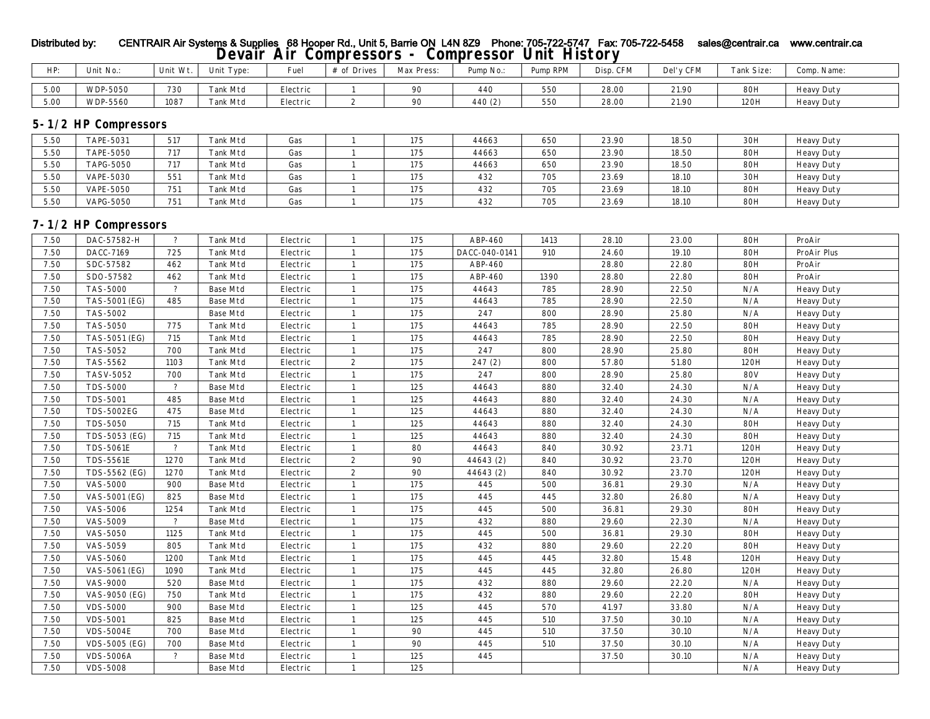# Distributed by: CENTRAIR Air Systems & Supplies 68 Hooper Rd., Unit 5, Barrie ON L4N 8Z9 Phone: 705-722-5747 Fax: 705-722-5458 sales@centrair.ca www.centrair.ca **Devair Air Compressors - Compressor Unit History**

| HP:  | Unit No.:       | Unit<br>. Wt. | Tvpe     | $\sim$<br>Fue. | $\sim$ $\sim$<br>Drives<br># ot | Max Press: | Pump No.: | <b>D</b> RPM<br>$n_{\text{max}}$ | Disp. CFM | 'v CFM<br>Del' | $\sim$<br><b>Tank Size:</b> | Comp.<br>Name:    |
|------|-----------------|---------------|----------|----------------|---------------------------------|------------|-----------|----------------------------------|-----------|----------------|-----------------------------|-------------------|
| 5.00 | <b>WDP-5050</b> | 730           | Tank Mtd | Electric       |                                 |            | 440       | 550                              | 28.00     | 21.90          | <b>80H</b>                  | <b>Heavy Duty</b> |
| 5.00 | <b>WDP-5560</b> | 1087          | Tank Mtd | Electric       |                                 |            | 440(2)    | 550                              | 28.00     | 21.90          | 120H                        | <b>Heavy Duty</b> |

## **5-1/2 HP Compressors**

| 5.50 | <b>TAPE-5031</b> | 517 | Tank Mtd        | Gas | 175 | 44663 | 650 | 23.90 | 18.50 | 30H        | <b>Heavy Duty</b> |
|------|------------------|-----|-----------------|-----|-----|-------|-----|-------|-------|------------|-------------------|
| 5.50 | <b>TAPE-5050</b> | 717 | Tank Mtd        | Gas | 175 | 44663 | 650 | 23.90 | 18.50 | <b>80H</b> | <b>Heavy Duty</b> |
| 5.50 | <b>TAPG-5050</b> | 717 | Tank Mtd        | Gas | 175 | 44663 | 650 | 23.90 | 18.50 | <b>80H</b> | <b>Heavy Duty</b> |
| 5.50 | <b>VAPE-5030</b> | 551 | Fank Mtd        | Gas | 175 | 432   | 705 | 23.69 | 18.10 | 30H        | <b>Heavy Duty</b> |
| 5.50 | <b>VAPE-5050</b> | 751 | Fank Mtd        | Gas | 175 | 432   | 705 | 23.69 | 18.10 | <b>80H</b> | <b>Heavy Duty</b> |
| 5.50 | <b>VAPG-5050</b> | 751 | <b>Tank Mtd</b> | Gas | 175 | 432   | 705 | 23.69 | 18.10 | <b>80H</b> | <b>Heavy Duty</b> |

## **7-1/2 HP Compressors**

| 7.50 | DAC-57582-H          | $\overline{?}$ | <b>Tank Mtd</b> | Electric |                  | 175 | ABP-460       | 1413 | 28.10 | 23.00 | <b>80H</b> | ProAir            |
|------|----------------------|----------------|-----------------|----------|------------------|-----|---------------|------|-------|-------|------------|-------------------|
| 7.50 | DACC-7169            | 725            | <b>Tank Mtd</b> | Electric | $\mathbf{1}$     | 175 | DACC-040-0141 | 910  | 24.60 | 19.10 | <b>80H</b> | ProAir Plus       |
| 7.50 | SDC-57582            | 462            | <b>Tank Mtd</b> | Electric |                  | 175 | ABP-460       |      | 28.80 | 22.80 | <b>80H</b> | ProAir            |
| 7.50 | SDO-57582            | 462            | <b>Tank Mtd</b> | Electric | $\mathbf{1}$     | 175 | ABP-460       | 1390 | 28.80 | 22.80 | <b>80H</b> | ProAir            |
| 7.50 | <b>TAS-5000</b>      | $\overline{?}$ | <b>Base Mtd</b> | Electric |                  | 175 | 44643         | 785  | 28.90 | 22.50 | N/A        | <b>Heavy Duty</b> |
| 7.50 | TAS-5001 (EG)        | 485            | <b>Base Mtd</b> | Electric |                  | 175 | 44643         | 785  | 28.90 | 22.50 | N/A        | <b>Heavy Duty</b> |
| 7.50 | <b>TAS-5002</b>      |                | <b>Base Mtd</b> | Electric | $\mathbf{1}$     | 175 | 247           | 800  | 28.90 | 25.80 | N/A        | <b>Heavy Duty</b> |
| 7.50 | <b>TAS-5050</b>      | 775            | <b>Tank Mtd</b> | Electric |                  | 175 | 44643         | 785  | 28.90 | 22.50 | <b>80H</b> | <b>Heavy Duty</b> |
| 7.50 | TAS-5051 (EG)        | 715            | <b>Tank Mtd</b> | Electric |                  | 175 | 44643         | 785  | 28.90 | 22.50 | <b>80H</b> | <b>Heavy Duty</b> |
| 7.50 | TAS-5052             | 700            | <b>Tank Mtd</b> | Electric |                  | 175 | 247           | 800  | 28.90 | 25.80 | <b>80H</b> | <b>Heavy Duty</b> |
| 7.50 | TAS-5562             | 1103           | Tank Mtd        | Electric | $\boldsymbol{2}$ | 175 | 247(2)        | 800  | 57.80 | 51.80 | 120H       | <b>Heavy Duty</b> |
| 7.50 | <b>TASV-5052</b>     | 700            | Tank Mtd        | Electric |                  | 175 | 247           | 800  | 28.90 | 25.80 | <b>80V</b> | <b>Heavy Duty</b> |
| 7.50 | <b>TDS-5000</b>      | $\overline{?}$ | <b>Base Mtd</b> | Electric | $\mathbf{1}$     | 125 | 44643         | 880  | 32.40 | 24.30 | N/A        | <b>Heavy Duty</b> |
| 7.50 | <b>TDS-5001</b>      | 485            | <b>Base Mtd</b> | Electric |                  | 125 | 44643         | 880  | 32.40 | 24.30 | N/A        | <b>Heavy Duty</b> |
| 7.50 | <b>TDS-5002EG</b>    | 475            | <b>Base Mtd</b> | Electric |                  | 125 | 44643         | 880  | 32.40 | 24.30 | N/A        | <b>Heavy Duty</b> |
| 7.50 | <b>TDS-5050</b>      | 715            | <b>Tank Mtd</b> | Electric |                  | 125 | 44643         | 880  | 32.40 | 24.30 | <b>80H</b> | <b>Heavy Duty</b> |
| 7.50 | TDS-5053 (EG)        | 715            | <b>Tank Mtd</b> | Electric |                  | 125 | 44643         | 880  | 32.40 | 24.30 | <b>80H</b> | <b>Heavy Duty</b> |
| 7.50 | <b>TDS-5061E</b>     | $\overline{?}$ | <b>Tank Mtd</b> | Electric |                  | 80  | 44643         | 840  | 30.92 | 23.71 | 120H       | <b>Heavy Duty</b> |
| 7.50 | <b>TDS-5561E</b>     | 1270           | <b>Tank Mtd</b> | Electric | $\boldsymbol{2}$ | 90  | 44643 (2)     | 840  | 30.92 | 23.70 | 120H       | <b>Heavy Duty</b> |
| 7.50 | TDS-5562 (EG)        | 1270           | <b>Tank Mtd</b> | Electric | $\boldsymbol{2}$ | 90  | 44643 (2)     | 840  | 30.92 | 23.70 | 120H       | <b>Heavy Duty</b> |
| 7.50 | <b>VAS-5000</b>      | 900            | <b>Base Mtd</b> | Electric |                  | 175 | 445           | 500  | 36.81 | 29.30 | N/A        | <b>Heavy Duty</b> |
| 7.50 | VAS-5001 (EG)        | 825            | <b>Base Mtd</b> | Electric |                  | 175 | 445           | 445  | 32.80 | 26.80 | N/A        | <b>Heavy Duty</b> |
| 7.50 | <b>VAS-5006</b>      | 1254           | <b>Tank Mtd</b> | Electric |                  | 175 | 445           | 500  | 36.81 | 29.30 | <b>80H</b> | <b>Heavy Duty</b> |
| 7.50 | <b>VAS-5009</b>      | $\overline{?}$ | <b>Base Mtd</b> | Electric |                  | 175 | 432           | 880  | 29.60 | 22.30 | N/A        | <b>Heavy Duty</b> |
| 7.50 | <b>VAS-5050</b>      | 1125           | <b>Tank Mtd</b> | Electric | $\mathbf{1}$     | 175 | 445           | 500  | 36.81 | 29.30 | <b>80H</b> | <b>Heavy Duty</b> |
| 7.50 | <b>VAS-5059</b>      | 805            | <b>Tank Mtd</b> | Electric | $\mathbf{1}$     | 175 | 432           | 880  | 29.60 | 22.20 | <b>80H</b> | <b>Heavy Duty</b> |
| 7.50 | <b>VAS-5060</b>      | 1200           | <b>Tank Mtd</b> | Electric | $\mathbf{1}$     | 175 | 445           | 445  | 32.80 | 15.48 | 120H       | <b>Heavy Duty</b> |
| 7.50 | VAS-5061 (EG)        | 1090           | <b>Tank Mtd</b> | Electric | $\mathbf{1}$     | 175 | 445           | 445  | 32.80 | 26.80 | 120H       | <b>Heavy Duty</b> |
| 7.50 | <b>VAS-9000</b>      | 520            | <b>Base Mtd</b> | Electric |                  | 175 | 432           | 880  | 29.60 | 22.20 | N/A        | <b>Heavy Duty</b> |
| 7.50 | VAS-9050 (EG)        | 750            | <b>Tank Mtd</b> | Electric | $\mathbf{1}$     | 175 | 432           | 880  | 29.60 | 22.20 | <b>80H</b> | <b>Heavy Duty</b> |
| 7.50 | <b>VDS-5000</b>      | 900            | <b>Base Mtd</b> | Electric | -1               | 125 | 445           | 570  | 41.97 | 33.80 | N/A        | <b>Heavy Duty</b> |
| 7.50 | <b>VDS-5001</b>      | 825            | <b>Base Mtd</b> | Electric |                  | 125 | 445           | 510  | 37.50 | 30.10 | N/A        | <b>Heavy Duty</b> |
| 7.50 | <b>VDS-5004E</b>     | 700            | <b>Base Mtd</b> | Electric |                  | 90  | 445           | 510  | 37.50 | 30.10 | N/A        | <b>Heavy Duty</b> |
| 7.50 | <b>VDS-5005 (EG)</b> | 700            | <b>Base Mtd</b> | Electric |                  | 90  | 445           | 510  | 37.50 | 30.10 | N/A        | <b>Heavy Duty</b> |
| 7.50 | <b>VDS-5006A</b>     | $\overline{?}$ | <b>Base Mtd</b> | Electric |                  | 125 | 445           |      | 37.50 | 30.10 | N/A        | <b>Heavy Duty</b> |
| 7.50 | <b>VDS-5008</b>      |                | <b>Base Mtd</b> | Electric |                  | 125 |               |      |       |       | N/A        | <b>Heavy Duty</b> |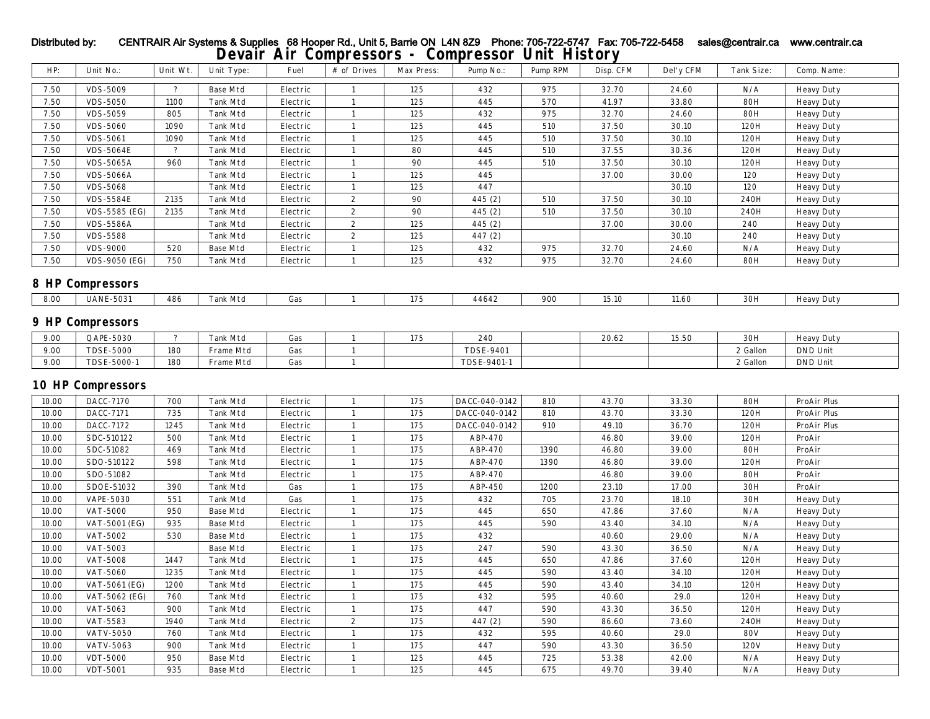| HP:            | Unit No.:                          | Unit Wt.                 | Unit Type:                         | Fuel                 | # of Drives                  | Max Press: | Pump No.:        | Pump RPM   | Disp. CFM      | Del'y CFM      | Tank Size:       | Comp. Name:       |
|----------------|------------------------------------|--------------------------|------------------------------------|----------------------|------------------------------|------------|------------------|------------|----------------|----------------|------------------|-------------------|
| 7.50           | <b>VDS-5009</b>                    | $\overline{?}$           | <b>Base Mtd</b>                    | Electric             | $\mathbf{1}$                 | 125        | 432              | 975        | 32.70          | 24.60          | N/A              | <b>Heavy Duty</b> |
| $7.50\,$       | <b>VDS-5050</b>                    | 1100                     | Tank Mtd                           | Electric             | $\mathbf{1}$                 | 125        | 445              | 570        | 41.97          | 33.80          | <b>80H</b>       | <b>Heavy Duty</b> |
| 7.50           | <b>VDS-5059</b>                    | 805                      | <b>Tank Mtd</b>                    | Electric             | $\mathbf{1}$                 | 125        | 432              | 975        | 32.70          | 24.60          | <b>80H</b>       | <b>Heavy Duty</b> |
| 7.50           | <b>VDS-5060</b>                    | 1090                     | Tank Mtd                           | Electric             | $\mathbf{1}$                 | 125        | 445              | 510        | 37.50          | 30.10          | 120H             | <b>Heavy Duty</b> |
| 7.50           | <b>VDS-5061</b>                    | 1090                     | Tank Mtd                           | Electric             | $\mathbf{1}$                 | 125        | 445              | 510        | 37.50          | 30.10          | 120H             | <b>Heavy Duty</b> |
| 7.50           | <b>VDS-5064E</b>                   | $\overline{\mathbf{?}}$  | Tank Mtd                           | Electric             | $\mathbf{1}$                 | 80         | 445              | 510        | 37.55          | 30.36          | 120H             | <b>Heavy Duty</b> |
| 7.50           | <b>VDS-5065A</b>                   | 960                      | Tank Mtd                           | Electric             | $\mathbf{1}$                 | 90         | 445              | 510        | 37.50          | 30.10          | 120H             | <b>Heavy Duty</b> |
| 7.50           | <b>VDS-5066A</b>                   |                          | Tank Mtd                           | Electric             | $\mathbf{1}$                 | 125        | 445              |            | 37.00          | 30.00          | 120              | <b>Heavy Duty</b> |
| 7.50           | <b>VDS-5068</b>                    |                          | Tank Mtd                           | Electric             | $\mathbf{1}$                 | 125        | 447              |            |                | 30.10          | 120              | <b>Heavy Duty</b> |
| 7.50           | <b>VDS-5584E</b>                   | 2135                     | Tank Mtd                           | Electric             | $\boldsymbol{2}$             | 90         | 445 (2)          | 510        | 37.50          | 30.10          | 240H             | <b>Heavy Duty</b> |
| 7.50           | VDS-5585 (EG)                      | 2135                     | Tank Mtd                           | Electric             | $\boldsymbol{2}$             | 90         | 445 (2)          | 510        | 37.50          | 30.10          | 240H             | <b>Heavy Duty</b> |
| 7.50           | <b>VDS-5586A</b>                   |                          | Tank Mtd                           | Electric             | $\boldsymbol{2}$             | 125        | 445 (2)          |            | 37.00          | 30.00          | 240              | <b>Heavy Duty</b> |
| 7.50           | <b>VDS-5588</b>                    |                          | Tank Mtd                           | Electric             | $\boldsymbol{2}$             | 125        | 447 (2)          |            |                | 30.10          | 240              | <b>Heavy Duty</b> |
| 7.50           | <b>VDS-9000</b>                    | 520                      | <b>Base Mtd</b>                    | ${\rm Electric}$     | $\mathbf{1}$                 | 125        | 432              | 975        | 32.70          | 24.60          | N/A              | <b>Heavy Duty</b> |
| 7.50           | <b>VDS-9050 (EG)</b>               | 750                      | Tank Mtd                           | Electric             | $\mathbf{1}$                 | 125        | 432              | 975        | 32.70          | 24.60          | <b>80H</b>       | <b>Heavy Duty</b> |
|                | <b>8 HP Compressors</b>            |                          |                                    |                      |                              |            |                  |            |                |                |                  |                   |
| 8.00           | <b>UANE-5031</b>                   | 486                      | <b>Tank Mtd</b>                    | Gas                  | $\mathbf{1}$                 | 175        | 44642            | 900        | 15.10          | 11.60          | 30H              | <b>Heavy Duty</b> |
|                | <b>9 HP Compressors</b>            |                          |                                    |                      |                              |            |                  |            |                |                |                  |                   |
| 9.00           | QAPE-5030                          | $\overline{\mathcal{E}}$ | <b>Tank Mtd</b>                    | Gas                  | $\mathbf{1}$                 | 175        | 240              |            | 20.62          | 15.50          | 30H              | <b>Heavy Duty</b> |
| 9.00           | <b>TDSE-5000</b>                   | 180                      | Frame Mtd                          | Gas                  | $\mathbf{1}$                 |            | <b>TDSE-9401</b> |            |                |                | 2 Gallon         | <b>DND</b> Unit   |
| 9.00           | TDSE-5000-1                        | 180                      | Frame Mtd                          | Gas                  | $\mathbf{1}$                 |            | TDSE-9401-1      |            |                |                | 2 Gallon         | <b>DND</b> Unit   |
|                |                                    |                          |                                    |                      |                              |            |                  |            |                |                |                  |                   |
|                | <b>10 HP Compressors</b>           |                          |                                    |                      |                              |            |                  |            |                |                |                  |                   |
| 10.00          | DACC-7170                          | 700                      | Tank Mtd                           | Electric             | $\mathbf{1}$                 | 175        | DACC-040-0142    | 810        | 43.70          | 33.30          | <b>80H</b>       | ProAir Plus       |
| 10.00          | DACC-7171                          | 735                      | <b>Tank Mtd</b>                    | Electric             | $\mathbf{1}$                 | 175        | DACC-040-0142    | 810        | 43.70          | 33.30          | 120H             | ProAir Plus       |
| 10.00          | DACC-7172                          | 1245                     | <b>Tank Mtd</b>                    | Electric             | $\mathbf{1}$                 | 175        | DACC-040-0142    | 910        | 49.10          | 36.70          | 120H             | ProAir Plus       |
| 10.00          | SDC-510122                         | 500                      | Tank Mtd                           | Electric             | $\mathbf{1}$                 | 175        | ABP-470          |            | 46.80          | 39.00          | 120H             | ProAir            |
| 10.00          | SDC-51082                          | 469                      | Tank Mtd                           | Electric             | $\mathbf{1}$                 | 175        | ABP-470          | 1390       | 46.80          | 39.00          | <b>80H</b>       | ProAir            |
| 10.00          | SDO-510122                         | 598                      | Tank Mtd                           | Electric             | $\mathbf{1}$                 | 175        | ABP-470          | 1390       | 46.80          | 39.00          | 120H             | ProAir            |
| 10.00          | SDO-51082                          |                          | Tank Mtd                           | Electric             | $\mathbf{1}$                 | 175        | ABP-470          |            | 46.80          | 39.00          | <b>80H</b>       | ProAir            |
| 10.00          | SDOE-51032                         | 390                      | Tank Mtd                           | Gas                  | $\mathbf{1}$                 | 175        | ABP-450          | 1200       | 23.10          | 17.00          | $30\mathrm{H}$   | ProAir            |
| 10.00          | <b>VAPE-5030</b>                   | 551                      | Tank Mtd                           | Gas                  | $\mathbf{1}$                 | 175        | 432              | 705        | 23.70          | 18.10          | 30H              | <b>Heavy Duty</b> |
| 10.00          | VAT-5000                           | 950                      | <b>Base Mtd</b>                    | Electric             | $\mathbf{1}$                 | 175        | 445              | 650        | 47.86          | 37.60          | N/A              | <b>Heavy Duty</b> |
| 10.00          | VAT-5001 (EG)                      | 935                      | <b>Base Mtd</b>                    | Electric             | $\mathbf{1}$                 | 175        | 445              | 590        | 43.40          | 34.10          | N/A              | <b>Heavy Duty</b> |
| 10.00          | VAT-5002                           | 530                      | <b>Base Mtd</b>                    | Electric             | $\mathbf{1}$                 | 175        | 432              |            | 40.60          | 29.00          | N/A              | <b>Heavy Duty</b> |
| 10.00          | VAT-5003                           |                          | <b>Base Mtd</b>                    | Electric             | $\mathbf{1}$                 | 175        | 247              | 590        | 43.30          | 36.50          | N/A              | <b>Heavy Duty</b> |
| 10.00          | <b>VAT-5008</b>                    | 1447                     | Tank Mtd                           | Electric             | $\mathbf{1}$                 | 175        | 445              | 650        | 47.86          | 37.60          | 120H             | <b>Heavy Duty</b> |
| 10.00          | VAT-5060                           | 1235                     | Tank Mtd                           | Electric             | $\mathbf{1}$                 | 175        | 445              | 590        | 43.40          | 34.10          | 120H             | <b>Heavy Duty</b> |
| 10.00          | VAT-5061 (EG)                      | 1200                     | Tank Mtd                           | Electric             | $\mathbf{1}$                 | 175        | 445              | 590        | 43.40          | 34.10          | 120H             | <b>Heavy Duty</b> |
| 10.00          | VAT-5062 (EG)                      | 760                      | Tank Mtd                           | Electric             | $\mathbf{1}$                 | 175        | 432              | 595        | 40.60          | 29.0           | 120H             | <b>Heavy Duty</b> |
| 10.00          | VAT-5063                           | 900                      | <b>Tank Mtd</b>                    | Electric             | $\mathbf{1}$                 | 175        | 447              | 590        | 43.30          | 36.50          | 120H             | <b>Heavy Duty</b> |
| 10.00          | VAT-5583                           | 1940                     | <b>Tank Mtd</b>                    | Electric             | $\boldsymbol{2}$             | 175        | 447 (2)          | 590        | 86.60          | 73.60          | 240H             | <b>Heavy Duty</b> |
| 10.00          | <b>VATV-5050</b>                   | 760                      | Tank Mtd                           | Electric             | $\mathbf{1}$                 | 175        | 432              | 595        | 40.60          | 29.0           | <b>80V</b>       | <b>Heavy Duty</b> |
| 10.00          | <b>VATV-5063</b>                   | 900                      | Tank Mtd                           | Electric             | $\mathbf{1}$                 | 175        | 447              | 590        | 43.30          | 36.50          | 120V             | <b>Heavy Duty</b> |
| 10.00<br>10.00 | <b>VDT-5000</b><br><b>VDT-5001</b> | 950<br>935               | <b>Base Mtd</b><br><b>Base Mtd</b> | Electric<br>Electric | $\mathbf{1}$<br>$\mathbf{1}$ | 125<br>125 | 445<br>445       | 725<br>675 | 53.38<br>49.70 | 42.00<br>39.40 | N/A<br>$\rm N/A$ | <b>Heavy Duty</b> |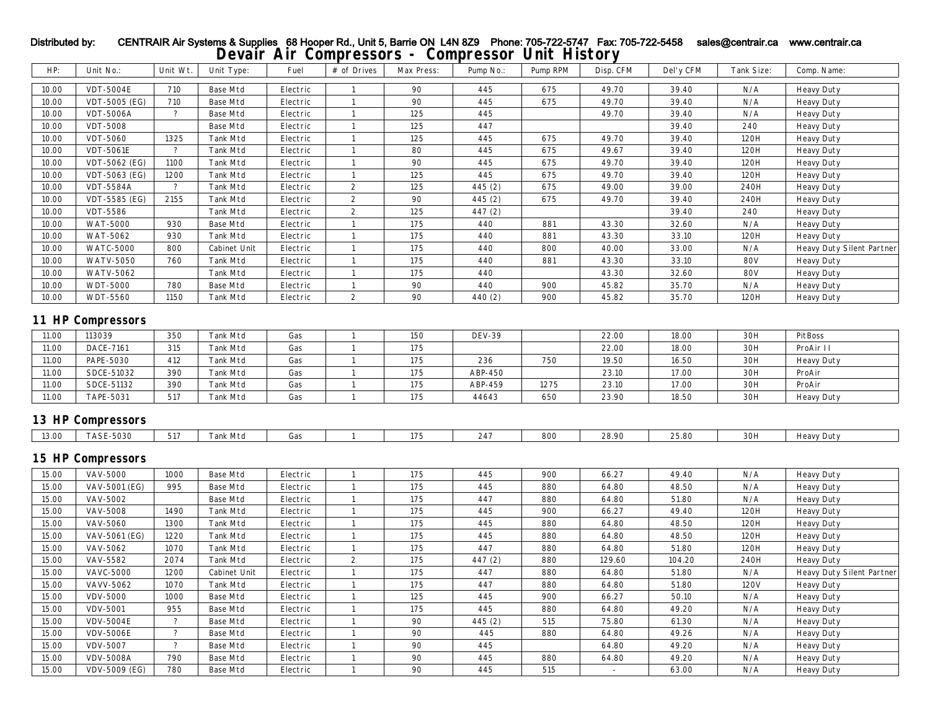## **Devair Air Compressors - Compressor Unit History** HP: Unit No.: Unit Wt. Unit Type: Fuel # of Drives Max Press: Pump No.: Pump RPM Disp. CFM Del'y CFM Tank Size: Comp. Name: Distributed by: CENTRAIR Air Systems & Supplies 68 Hooper Rd., Unit 5, Barrie ON L4N 8Z9 Phone: 705-722-5747 Fax: 705-722-5458 sales@centrair.ca www.centrair.ca

| 10.00          | <b>VDT-5004E</b>         | 710                      | <b>Base Mtd</b>             | Electric   | $\mathbf{1}$      | 90         | 445                | 675  | 49.70          | 39.40          | N/A        | <b>Heavy Duty</b>                |
|----------------|--------------------------|--------------------------|-----------------------------|------------|-------------------|------------|--------------------|------|----------------|----------------|------------|----------------------------------|
| 10.00          | VDT-5005 (EG)            | 710                      | <b>Base Mtd</b>             | Electric   | $\mathbf{1}$      | 90         | 445                | 675  | 49.70          | 39.40          | N/A        | <b>Heavy Duty</b>                |
| 10.00          | <b>VDT-5006A</b>         | $\overline{\mathcal{E}}$ | <b>Base Mtd</b>             | Electric   | 1                 | 125        | 445                |      | 49.70          | 39.40          | N/A        | <b>Heavy Duty</b>                |
| 10.00          | <b>VDT-5008</b>          |                          | <b>Base Mtd</b>             | Electric   | $\mathbf{1}$      | 125        | 447                |      |                | 39.40          | 240        | <b>Heavy Duty</b>                |
| 10.00          | <b>VDT-5060</b>          | 1325                     | <b>Tank Mtd</b>             | Electric   | 1                 | 125        | 445                | 675  | 49.70          | 39.40          | 120H       | <b>Heavy Duty</b>                |
| 10.00          | <b>VDT-5061E</b>         | $\overline{\mathcal{E}}$ | Tank Mtd                    | Electric   | $\mathbf{1}$      | 80         | 445                | 675  | 49.67          | 39.40          | 120H       | <b>Heavy Duty</b>                |
| 10.00          | VDT-5062 (EG)            | 1100                     | <b>Tank Mtd</b>             | Electric   | $\mathbf{1}$      | 90         | 445                | 675  | 49.70          | 39.40          | 120H       | <b>Heavy Duty</b>                |
| 10.00          | VDT-5063 (EG)            | 1200                     | Tank Mtd                    | Electric   | $\mathbf{1}$      | 125        | 445                | 675  | 49.70          | 39.40          | 120H       | <b>Heavy Duty</b>                |
| 10.00          | <b>VDT-5584A</b>         | $\ddot{\phantom{0}}$     | <b>Tank Mtd</b>             | Electric   | $\boldsymbol{2}$  | 125        | 445 (2)            | 675  | 49.00          | 39.00          | 240H       | <b>Heavy Duty</b>                |
| 10.00          | VDT-5585 (EG)            | 2155                     | <b>Tank Mtd</b>             | Electric   | $\boldsymbol{2}$  | 90         | 445(2)             | 675  | 49.70          | 39.40          | 240H       | <b>Heavy Duty</b>                |
| 10.00          | <b>VDT-5586</b>          |                          | <b>Tank Mtd</b>             | Electric   | $\boldsymbol{2}$  | 125        | 447 (2)            |      |                | 39.40          | 240        | <b>Heavy Duty</b>                |
| 10.00          | <b>WAT-5000</b>          | 930                      | <b>Base Mtd</b>             | Electric   | $\mathbf{1}$      | 175        | 440                | 881  | 43.30          | 32.60          | N/A        | <b>Heavy Duty</b>                |
| 10.00          | WAT-5062                 | 930                      | <b>Tank Mtd</b>             | Electric   | $\mathbf{1}$      | 175        | 440                | 881  | 43.30          | 33.10          | 120H       | <b>Heavy Duty</b>                |
| 10.00          | <b>WATC-5000</b>         | 800                      | Cabinet Unit                | Electric   | $\mathbf{1}$      | 175        | 440                | 800  | 40.00          | 33.00          | N/A        | <b>Heavy Duty Silent Partner</b> |
| 10.00          | <b>WATV-5050</b>         | 760                      | Tank Mtd                    | Electric   | $\mathbf{1}$      | 175        | 440                | 881  | 43.30          | 33.10          | <b>80V</b> | <b>Heavy Duty</b>                |
| 10.00          | <b>WATV-5062</b>         |                          | <b>Tank Mtd</b>             | Electric   | $\mathbf{1}$      | 175        | 440                |      | 43.30          | 32.60          | <b>80V</b> | <b>Heavy Duty</b>                |
| 10.00          | <b>WDT-5000</b>          | 780                      | <b>Base Mtd</b>             | Electric   | 1                 | 90         | 440                | 900  | 45.82          | 35.70          | N/A        | <b>Heavy Duty</b>                |
| 10.00          | <b>WDT-5560</b>          | 1150                     | <b>Tank Mtd</b>             | Electric   | $\mathbf{2}$      | 90         | 440 (2)            | 900  | 45.82          | 35.70          | 120H       | <b>Heavy Duty</b>                |
|                | <b>11 HP Compressors</b> |                          |                             |            |                   |            |                    |      |                |                |            |                                  |
| 11.00          | 113039                   | 350                      | Tank Mtd                    | Gas        | 1                 | 150        | <b>DEV-39</b>      |      | 22.00          | 18.00          | 30H        | PitBoss                          |
| 11.00          | <b>DACE-7161</b>         | 315                      | <b>Tank Mtd</b>             | Gas        | $\mathbf{1}$      | 175        |                    |      | 22.00          | 18.00          | 30H        | ProAir II                        |
| 11.00          |                          | 412                      |                             | Gas        | $\mathbf{1}$      | 175        | 236                |      |                |                |            |                                  |
|                | <b>PAPE-5030</b>         |                          | <b>Tank Mtd</b>             |            |                   |            |                    | 750  | 19.50          | 16.50          | 30H        | <b>Heavy Duty</b>                |
| 11.00<br>11.00 | SDCE-51032<br>SDCE-51132 | 390<br>390               | Tank Mtd<br><b>Tank Mtd</b> | Gas<br>Gas | 1<br>$\mathbf{1}$ | 175<br>175 | ABP-450<br>ABP-459 | 1275 | 23.10<br>23.10 | 17.00<br>17.00 | 30H<br>30H | ProAir<br>ProAir                 |
| 11.00          | <b>TAPE-5031</b>         | 517                      | <b>Tank Mtd</b>             | Gas        | 1                 | 175        | 44643              | 650  | 23.90          | 18.50          | 30H        |                                  |
|                |                          |                          |                             |            |                   |            |                    |      |                |                |            | <b>Heavy Duty</b>                |
|                | <b>13 HP Compressors</b> |                          |                             |            |                   |            |                    |      |                |                |            |                                  |
| 13.00          | <b>TASE-5030</b>         | 517                      | <b>Tank Mtd</b>             | Gas        | $\mathbf{1}$      | 175        | 247                | 800  | 28.90          | 25.80          | 30H        | <b>Heavy Duty</b>                |
|                | <b>15 HP Compressors</b> |                          |                             |            |                   |            |                    |      |                |                |            |                                  |
| 15.00          | <b>VAV-5000</b>          | 1000                     | <b>Base Mtd</b>             | Electric   | $\mathbf{1}$      | 175        | 445                | 900  | 66.27          | 49.40          | N/A        | <b>Heavy Duty</b>                |
| 15.00          | VAV-5001 (EG)            | 995                      | <b>Base Mtd</b>             | Electric   | $\mathbf{1}$      | 175        | 445                | 880  | 64.80          | 48.50          | N/A        | <b>Heavy Duty</b>                |
| 15.00          | VAV-5002                 |                          | <b>Base Mtd</b>             | Electric   | $\mathbf{1}$      | 175        | 447                | 880  | 64.80          | 51.80          | N/A        | <b>Heavy Duty</b>                |
| 15.00          | <b>VAV-5008</b>          | 1490                     | <b>Tank Mtd</b>             | Electric   | $\mathbf{1}$      | 175        | 445                | 900  | 66.27          | 49.40          | 120H       | <b>Heavy Duty</b>                |
| 15.00          | <b>VAV-5060</b>          | 1300                     | <b>Tank Mtd</b>             | Electric   | $\mathbf{1}$      | 175        | 445                | 880  | 64.80          | 48.50          | 120H       | <b>Heavy Duty</b>                |
| 15.00          | VAV-5061 (EG)            | 1220                     | Tank Mtd                    | Electric   | $\mathbf{1}$      | 175        | 445                | 880  | 64.80          | 48.50          | 120H       | <b>Heavy Duty</b>                |
| 15.00          | VAV-5062                 | 1070                     | <b>Tank Mtd</b>             | Electric   | $\mathbf{1}$      | 175        | 447                | 880  | 64.80          | 51.80          | 120H       | <b>Heavy Duty</b>                |
| 15.00          | VAV-5582                 | 2074                     | <b>Tank Mtd</b>             | Electric   | $\boldsymbol{2}$  | 175        | 447 (2)            | 880  | 129.60         | 104.20         | 240H       | <b>Heavy Duty</b>                |
| 15.00          | <b>VAVC-5000</b>         | 1200                     | Cabinet Unit                | Electric   | $\mathbf{1}$      | 175        | 447                | 880  | 64.80          | 51.80          | N/A        | Heavy Duty Silent Partner        |
| 15.00          | <b>VAVV-5062</b>         | 1070                     | <b>Tank Mtd</b>             | Electric   | 1                 | 175        | 447                | 880  | 64.80          | 51.80          | 120V       | <b>Heavy Duty</b>                |
| 15.00          | <b>VDV-5000</b>          | 1000                     | <b>Base Mtd</b>             | Electric   | $\mathbf{1}$      | 125        | 445                | 900  | 66.27          | 50.10          | N/A        | <b>Heavy Duty</b>                |
| 15.00          | <b>VDV-5001</b>          | 955                      | <b>Base Mtd</b>             | Electric   | $\mathbf{1}$      | 175        | 445                | 880  | 64.80          | 49.20          | N/A        | <b>Heavy Duty</b>                |
| 15.00          | <b>VDV-5004E</b>         | $\overline{?}$           | <b>Base Mtd</b>             | Electric   | $\mathbf{1}$      | 90         | 445 (2)            | 515  | 75.80          | 61.30          | N/A        | <b>Heavy Duty</b>                |
| 15.00          | <b>VDV-5006E</b>         | $\overline{?}$           | <b>Base Mtd</b>             | Electric   | $\mathbf{1}$      | 90         | 445                | 880  | 64.80          | 49.26          | N/A        | <b>Heavy Duty</b>                |
| 15.00          | <b>VDV-5007</b>          | $\overline{\mathcal{E}}$ | <b>Base Mtd</b>             | Electric   | $\mathbf{1}$      | 90         | 445                |      | 64.80          | 49.20          | N/A        | <b>Heavy Duty</b>                |
| 15.00          | <b>VDV-5008A</b>         | 790                      | <b>Base Mtd</b>             | Electric   | $\mathbf{1}$      | 90         | 445                | 880  | 64.80          | 49.20          | N/A        | <b>Heavy Duty</b>                |
| 15.00          | <b>VDV-5009 (EG)</b>     | 780                      | <b>Base Mtd</b>             | Electric   | $\mathbf{1}$      | 90         | 445                | 515  | $\overline{a}$ | 63.00          | N/A        | <b>Heavy Duty</b>                |
|                |                          |                          |                             |            |                   |            |                    |      |                |                |            |                                  |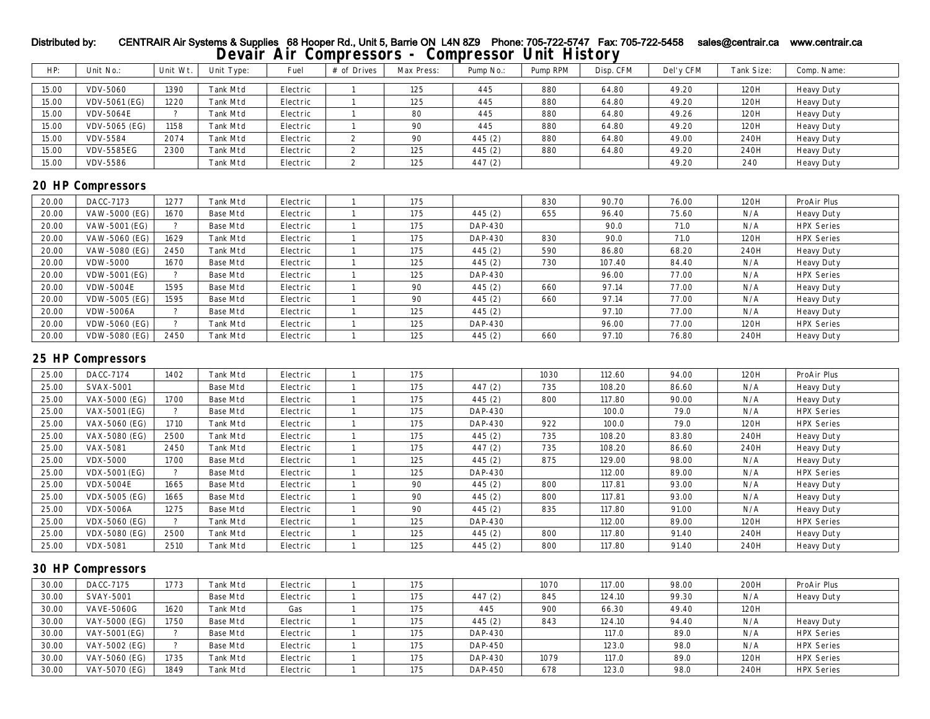## HP: Unit No.: Unit Wt. Unit Type: Fuel # of Drives Max Press: Pump No.: Pump RPM Disp. CFM Del'y CFM Tank Size: Comp. Name: 15.00 | VDV-5060 | 1390 | Tank Mtd | Electric | 1 | 125 | 445 | 880 | 64.80 | 49.20 | 120H | Heavy Duty 15.00 | VDV-5061 (EG) | 1220 | Tank Mtd | Electric | 1 | 125 | 445 | 880 | 64.80 | 49.20 | 120H | Heavy Duty 15.00 | VDV-5064E | ? | Tank Mtd | Electric | 1 | 80 | 445 | 880 | 64.80 | 49.26 | 120H | Heavy Duty 15.00 | VDV-5065 (EG) | 1158 | Tank Mtd | Electric | 1 | 90 | 445 | 880 | 64.80 | 49.20 | 120H | Heavy Duty 15.00 | VDV-5584 | 2074 | Tank Mtd | Electric | 2 | 90 | 445 (2) | 880 | 64.80 | 49.00 | 240H | Heavy Duty 15.00 | VDV-5585EG | 2300 | Tank Mtd | Electric | 2 | 125 | 445 (2) | 880 | 64.80 | 49.20 | 240H | Heavy Duty 15.00 | VDV-5586 | | | Tank Mtd | Electric | 2 | 125 | 447 (2) | | | | | | | 49.20 | 240 | Heavy Duty **20 HP Compressors** 20.00 DACC-7173 | 1277 | Tank Mtd | Electric | 1 | 175 | | 830 | 90.70 | 76.00 | 120H | ProAir Plus 20.00 | VAW-5000 (EG) | 1670 | Base Mtd | Electric | 1 | 175 | 445 (2) | 655 | 96.40 | 75.60 | N/A | Heavy Duty 20.00 | VAW-5001 (EG) | ? | Base Mtd | Electric | 1 | 175 | DAP-430 | | 90.0 | 71.0 | N/A | HPX Series 20.00 | VAW-5060 (EG) | 1629 | Tank Mtd | Electric | 1 | 175 | DAP-430 | 830 | 90.0 | 71.0 | 120H | HPX Series 20.00 | VAW-5080 (EG) | 2450 | Tank Mtd | Electric | 1 | 175 | 445 (2) | 590 | 86.80 | 68.20 | 240H | Heavy Duty 20.00 | VDW-5000 | 1670 | Base Mtd | Electric | 1 | 125 | 445 (2) | 730 | 107.40 | 84.40 | N/A | Heavy Duty 20.00 | VDW-5001 (EG) | ? | Base Mtd | Electric | 1 | 125 | DAP-430 | | 96.00 | 77.00 | N/A | HPX Series

## **Devair Air Compressors - Compressor Unit History** Distributed by: CENTRAIR Air Systems & Supplies 68 Hooper Rd., Unit 5, Barrie ON L4N 8Z9 Phone: 705-722-5747 Fax: 705-722-5458 sales@centrair.ca www.centrair.ca

| 20.00 | DACC-7173            | 1277          | <b>Tank Mtd</b> | Electric | 175 |                | 830 | 90.70  | 76.00 | 120H | ProAir Plus       |
|-------|----------------------|---------------|-----------------|----------|-----|----------------|-----|--------|-------|------|-------------------|
| 20.00 | VAW-5000 (EG)        | 1670          | Base Mtd        | Electric | 175 | 445(2)         | 655 | 96.40  | 75.60 | N/A  | <b>Heavy Duty</b> |
| 20.00 | VAW-5001 (EG)        | ∍             | Base Mtd        | Electric | 175 | <b>DAP-430</b> |     | 90.0   | 71.0  | N/A  | <b>HPX Series</b> |
| 20.00 | VAW-5060 (EG)        | 1629          | <b>Tank Mtd</b> | Electric | 175 | <b>DAP-430</b> | 830 | 90.0   | 71.0  | 120H | <b>HPX Series</b> |
| 20.00 | VAW-5080 (EG)        | 2450          | <b>Tank Mtd</b> | Electric | 175 | 445(2)         | 590 | 86.80  | 68.20 | 240H | <b>Heavy Duty</b> |
| 20.00 | <b>VDW-5000</b>      | 1670          | <b>Base Mtd</b> | Electric | 125 | 445(2)         | 730 | 107.40 | 84.40 | N/A  | <b>Heavy Duty</b> |
| 20.00 | <b>VDW-5001 (EG)</b> | ∍             | Base Mtd        | Electric | 125 | <b>DAP-430</b> |     | 96.00  | 77.00 | N/A  | <b>HPX Series</b> |
| 20.00 | <b>VDW-5004E</b>     | 1595          | Base Mtd        | Electric | 90  | 445(2)         | 660 | 97.14  | 77.00 | N/A  | <b>Heavy Duty</b> |
| 20.00 | <b>VDW-5005 (EG)</b> | 1595          | Base Mtd        | Electric | 90  | 445(2)         | 660 | 97.14  | 77.00 | N/A  | <b>Heavy Duty</b> |
| 20.00 | <b>VDW-5006A</b>     | っ             | Base Mtd        | Electric | 125 | 445(2)         |     | 97.10  | 77.00 | N/A  | <b>Heavy Duty</b> |
| 20.00 | <b>VDW-5060 (EG)</b> | $\mathcal{P}$ | <b>Tank Mtd</b> | Electric | 125 | <b>DAP-430</b> |     | 96.00  | 77.00 | 120H | <b>HPX Series</b> |
| 20.00 | <b>VDW-5080 (EG)</b> | 2450          | <b>Tank Mtd</b> | Electric | 125 | 445(2)         | 660 | 97.10  | 76.80 | 240H | <b>Heavy Duty</b> |

### **25 HP Compressors**

| 25.00 | DACC-7174            | 1402     | <b>Tank Mtd</b> | Electric | 175 |                | 1030 | 112.60 | 94.00 | 120H | ProAir Plus       |
|-------|----------------------|----------|-----------------|----------|-----|----------------|------|--------|-------|------|-------------------|
| 25.00 | <b>SVAX-5001</b>     |          | Base Mtd        | Electric | 175 | 447(2)         | 735  | 108.20 | 86.60 | N/A  | <b>Heavy Duty</b> |
| 25.00 | VAX-5000 (EG)        | 1700     | Base Mtd        | Electric | 175 | 445(2)         | 800  | 117.80 | 90.00 | N/A  | <b>Heavy Duty</b> |
| 25.00 | VAX-5001 (EG)        | ി        | Base Mtd        | Electric | 175 | <b>DAP-430</b> |      | 100.0  | 79.0  | N/A  | <b>HPX Series</b> |
| 25.00 | VAX-5060 (EG)        | 1710     | Tank Mtd        | Electric | 175 | DAP-430        | 922  | 100.0  | 79.0  | 120H | <b>HPX Series</b> |
| 25.00 | VAX-5080 (EG)        | 2500     | <b>Tank Mtd</b> | Electric | 175 | 445(2)         | 735  | 108.20 | 83.80 | 240H | <b>Heavy Duty</b> |
| 25.00 | <b>VAX-5081</b>      | 2450     | Tank Mtd        | Electric | 175 | 447(2)         | 735  | 108.20 | 86.60 | 240H | <b>Heavy Duty</b> |
| 25.00 | <b>VDX-5000</b>      | 1700     | Base Mtd        | Electric | 125 | 445(2)         | 875  | 129.00 | 98.00 | N/A  | <b>Heavy Duty</b> |
| 25.00 | <b>VDX-5001 (EG)</b> | $\Omega$ | Base Mtd        | Electric | 125 | <b>DAP-430</b> |      | 112.00 | 89.00 | N/A  | <b>HPX Series</b> |
| 25.00 | <b>VDX-5004E</b>     | 1665     | Base Mtd        | Electric | 90  | 445(2)         | 800  | 117.81 | 93.00 | N/A  | <b>Heavy Duty</b> |
| 25.00 | VDX-5005 (EG)        | 1665     | Base Mtd        | Electric | 90  | 445(2)         | 800  | 117.81 | 93.00 | N/A  | <b>Heavy Duty</b> |
| 25.00 | <b>VDX-5006A</b>     | 1275     | Base Mtd        | Electric | 90  | 445(2)         | 835  | 117.80 | 91.00 | N/A  | <b>Heavy Duty</b> |
| 25.00 | <b>VDX-5060 (EG)</b> | $\Omega$ | <b>Tank Mtd</b> | Electric | 125 | <b>DAP-430</b> |      | 112.00 | 89.00 | 120H | <b>HPX Series</b> |
| 25.00 | <b>VDX-5080 (EG)</b> | 2500     | <b>Tank Mtd</b> | Electric | 125 | 445(2)         | 800  | 117.80 | 91.40 | 240H | <b>Heavy Duty</b> |
| 25.00 | <b>VDX-5081</b>      | 2510     | <b>Tank Mtd</b> | Electric | 125 | 445(2)         | 800  | 117.80 | 91.40 | 240H | <b>Heavy Duty</b> |

### **30 HP Compressors**

| 30.00 | DACC-7175         | 1773 | <b>Tank Mtd</b> | Electric | 175 |         | 1070 | 117.00 | 98.00 | 200H | ProAir Plus       |
|-------|-------------------|------|-----------------|----------|-----|---------|------|--------|-------|------|-------------------|
| 30.00 | <b>SVAY-5001</b>  |      | Base Mtd        | Electric | 175 | 447(2)  | 845  | 124.10 | 99.30 | N/A  | <b>Heavy Duty</b> |
| 30.00 | <b>VAVE-5060G</b> | 1620 | Tank Mtd        | Gas      | 175 | 445     | 900  | 66.30  | 49.40 | 120H |                   |
| 30.00 | VAY-5000 (EG)     | 1750 | Base Mtd        | Electric | 175 | 445(2)  | 843  | 124.10 | 94.40 | N/A  | <b>Heavy Duty</b> |
| 30.00 | VAY-5001 (EG)     |      | Base Mtd        | Electric | 175 | DAP-430 |      | 117.0  | 89.0  | N/A  | <b>HPX Series</b> |
| 30.00 | VAY-5002 (EG)     |      | Base Mtd        | Electric | 175 | DAP-450 |      | 123.0  | 98.0  | N/A  | <b>HPX Series</b> |
| 30.00 | VAY-5060 (EG)     | 1735 | Tank Mtd        | Electric | 175 | DAP-430 | 1079 | 117.0  | 89.0  | 120H | <b>HPX Series</b> |
| 30.00 | VAY-5070 (EG)     | 1849 | Tank Mtd        | Electric | 175 | DAP-450 | 678  | 123.0  | 98.0  | 240H | <b>HPX Series</b> |